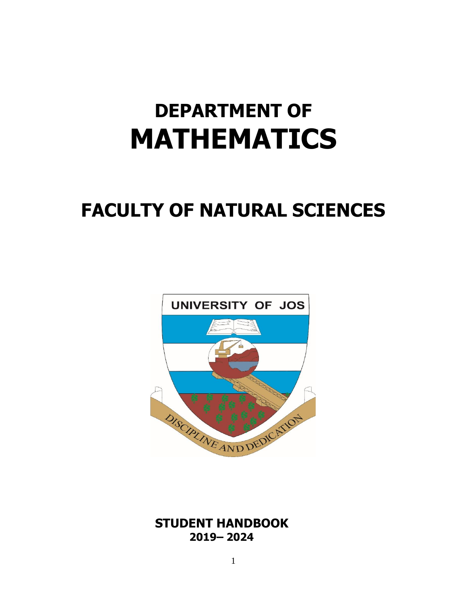# **DEPARTMENT OF MATHEMATICS**

# **FACULTY OF NATURAL SCIENCES**



 **STUDENT HANDBOOK 2019– 2024**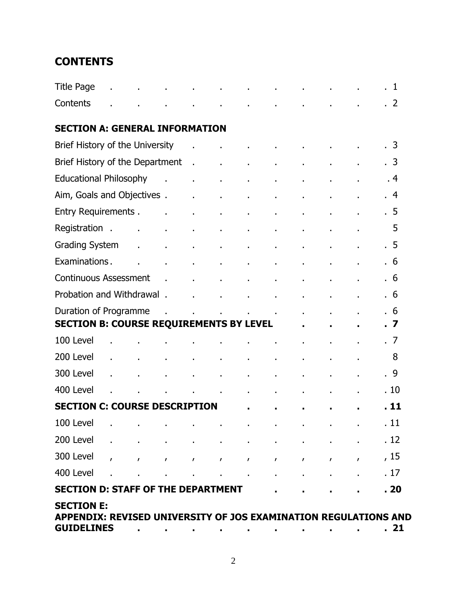# **CONTENTS**

| <b>Title Page</b>                                                                                         |                                       |                 |                                   |                |                 |              |              |                |                | . 1       |
|-----------------------------------------------------------------------------------------------------------|---------------------------------------|-----------------|-----------------------------------|----------------|-----------------|--------------|--------------|----------------|----------------|-----------|
| Contents                                                                                                  |                                       |                 |                                   |                | ×.              |              |              |                |                | $\cdot$ 2 |
| <b>SECTION A: GENERAL INFORMATION</b>                                                                     |                                       |                 |                                   |                |                 |              |              |                |                |           |
| Brief History of the University                                                                           |                                       |                 |                                   |                |                 |              |              |                |                | .3        |
| Brief History of the Department                                                                           |                                       |                 | $\sim$                            | $\blacksquare$ | $\blacksquare$  | ×,           |              | $\blacksquare$ | $\blacksquare$ | . 3       |
| <b>Educational Philosophy</b>                                                                             |                                       | $\sim$ 10 $\pm$ | $\mathbf{r}$                      | $\mathbf{r}$   | $\blacksquare$  |              |              | $\blacksquare$ |                | .4        |
| Aim, Goals and Objectives.                                                                                |                                       |                 | $\sim$                            | $\blacksquare$ | $\epsilon$      |              |              |                |                | .4        |
| <b>Entry Requirements.</b>                                                                                |                                       | $\mathbf{r}$    | à.                                | $\blacksquare$ | $\blacksquare$  |              |              | $\blacksquare$ |                | . 5       |
| Registration.                                                                                             | $\mathbf{r}$<br>$\sim 100$ km $^{-1}$ |                 | $\blacksquare$                    |                | ×,              |              |              |                |                | 5         |
| <b>Grading System</b>                                                                                     | $\mathbf{r}$                          | $\mathbf{r}$    | à.                                | $\blacksquare$ | ä,              |              |              | $\blacksquare$ |                | . 5       |
| Examinations.                                                                                             | $\mathbf{r}$                          | $\mathbf{r}$    | à.                                | ä,             | ä,              |              |              | $\blacksquare$ |                | .6        |
| <b>Continuous Assessment</b>                                                                              |                                       | $\sim$ $\sim$   | $\mathbf{r}$                      | $\mathbf{r}$   | $\mathbf{r}$    |              |              |                |                | . 6       |
| Probation and Withdrawal .                                                                                |                                       |                 | ä.                                |                | $\blacksquare$  |              |              | $\blacksquare$ |                | . 6       |
| Duration of Programme                                                                                     |                                       | $\mathbf{r}$    |                                   | $\mathbf{r}$   | $\sim 10$<br>¥. |              |              |                |                | .6        |
| <b>SECTION B: COURSE REQUIREMENTS BY LEVEL</b>                                                            |                                       |                 |                                   |                |                 |              |              |                |                | $\cdot$ 7 |
| 100 Level                                                                                                 |                                       |                 |                                   |                |                 |              |              | $\blacksquare$ |                | .7        |
| 200 Level                                                                                                 |                                       |                 | $\blacksquare$                    | $\blacksquare$ | $\blacksquare$  |              |              |                |                | 8         |
| 300 Level                                                                                                 |                                       | ×.              |                                   | $\epsilon$     | $\mathbf{r}$    |              |              |                |                | . 9       |
| 400 Level                                                                                                 |                                       |                 | <b>Contractor</b><br>$\mathbf{r}$ |                | $\mathbf{r}$    | ä,           |              | $\blacksquare$ |                | .10       |
| <b>SECTION C: COURSE DESCRIPTION</b>                                                                      |                                       |                 |                                   |                | $\blacksquare$  |              |              |                |                | . 11      |
|                                                                                                           |                                       |                 |                                   |                |                 |              |              |                |                | . 11      |
| 200 Level                                                                                                 |                                       |                 |                                   |                |                 |              |              |                |                | . 12      |
| 300 Level                                                                                                 | $\mathbf{r}$                          | $\mathbf{r}$    | $\mathbf{r}$                      | $\mathbf{r}$   | $\mathbf{r}$    | $\mathbf{r}$ | $\mathbf{r}$ | $\mathbf{r}$   | $\mathbf{r}$   | , 15      |
| 400 Level                                                                                                 |                                       |                 |                                   | $\blacksquare$ | $\blacksquare$  |              |              |                |                | . 17      |
| <b>SECTION D: STAFF OF THE DEPARTMENT</b>                                                                 |                                       |                 |                                   |                |                 |              |              |                |                | . 20      |
| <b>SECTION E:</b><br>APPENDIX: REVISED UNIVERSITY OF JOS EXAMINATION REGULATIONS AND<br><b>GUIDELINES</b> |                                       |                 |                                   |                |                 |              |              |                |                | . 21      |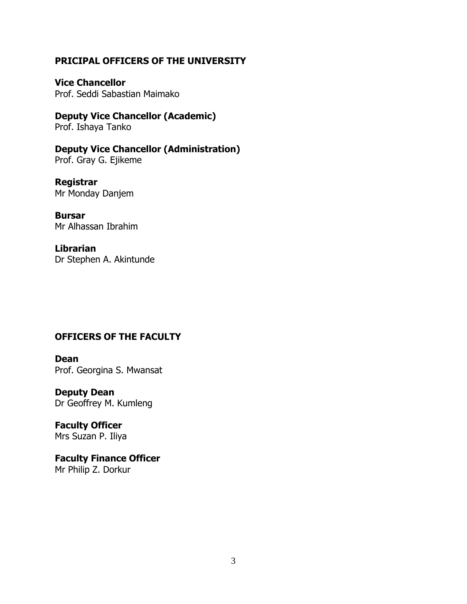#### **PRICIPAL OFFICERS OF THE UNIVERSITY**

**Vice Chancellor** Prof. Seddi Sabastian Maimako

**Deputy Vice Chancellor (Academic)** Prof. Ishaya Tanko

**Deputy Vice Chancellor (Administration)** Prof. Gray G. Ejikeme

**Registrar** Mr Monday Danjem

**Bursar** Mr Alhassan Ibrahim

**Librarian** Dr Stephen A. Akintunde

# **OFFICERS OF THE FACULTY**

**Dean** Prof. Georgina S. Mwansat

**Deputy Dean** Dr Geoffrey M. Kumleng

**Faculty Officer** Mrs Suzan P. Iliya

**Faculty Finance Officer** Mr Philip Z. Dorkur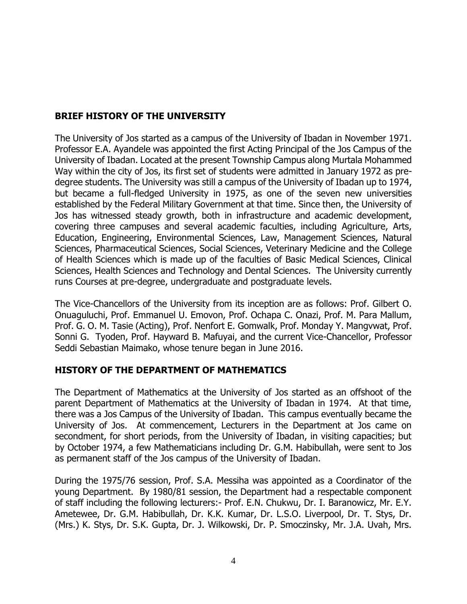# **BRIEF HISTORY OF THE UNIVERSITY**

The University of Jos started as a campus of the University of Ibadan in November 1971. Professor E.A. Ayandele was appointed the first Acting Principal of the Jos Campus of the University of Ibadan. Located at the present Township Campus along Murtala Mohammed Way within the city of Jos, its first set of students were admitted in January 1972 as predegree students. The University was still a campus of the University of Ibadan up to 1974, but became a full-fledged University in 1975, as one of the seven new universities established by the Federal Military Government at that time. Since then, the University of Jos has witnessed steady growth, both in infrastructure and academic development, covering three campuses and several academic faculties, including Agriculture, Arts, Education, Engineering, Environmental Sciences, Law, Management Sciences, Natural Sciences, Pharmaceutical Sciences, Social Sciences, Veterinary Medicine and the College of Health Sciences which is made up of the faculties of Basic Medical Sciences, Clinical Sciences, Health Sciences and Technology and Dental Sciences. The University currently runs Courses at pre-degree, undergraduate and postgraduate levels.

The Vice-Chancellors of the University from its inception are as follows: Prof. Gilbert O. Onuaguluchi, Prof. Emmanuel U. Emovon, Prof. Ochapa C. Onazi, Prof. M. Para Mallum, Prof. G. O. M. Tasie (Acting), Prof. Nenfort E. Gomwalk, Prof. Monday Y. Mangvwat, Prof. Sonni G. Tyoden, Prof. Hayward B. Mafuyai, and the current Vice-Chancellor, Professor Seddi Sebastian Maimako, whose tenure began in June 2016.

#### **HISTORY OF THE DEPARTMENT OF MATHEMATICS**

The Department of Mathematics at the University of Jos started as an offshoot of the parent Department of Mathematics at the University of Ibadan in 1974. At that time, there was a Jos Campus of the University of Ibadan. This campus eventually became the University of Jos. At commencement, Lecturers in the Department at Jos came on secondment, for short periods, from the University of Ibadan, in visiting capacities; but by October 1974, a few Mathematicians including Dr. G.M. Habibullah, were sent to Jos as permanent staff of the Jos campus of the University of Ibadan.

During the 1975/76 session, Prof. S.A. Messiha was appointed as a Coordinator of the young Department. By 1980/81 session, the Department had a respectable component of staff including the following lecturers:- Prof. E.N. Chukwu, Dr. I. Baranowicz, Mr. E.Y. Ametewee, Dr. G.M. Habibullah, Dr. K.K. Kumar, Dr. L.S.O. Liverpool, Dr. T. Stys, Dr. (Mrs.) K. Stys, Dr. S.K. Gupta, Dr. J. Wilkowski, Dr. P. Smoczinsky, Mr. J.A. Uvah, Mrs.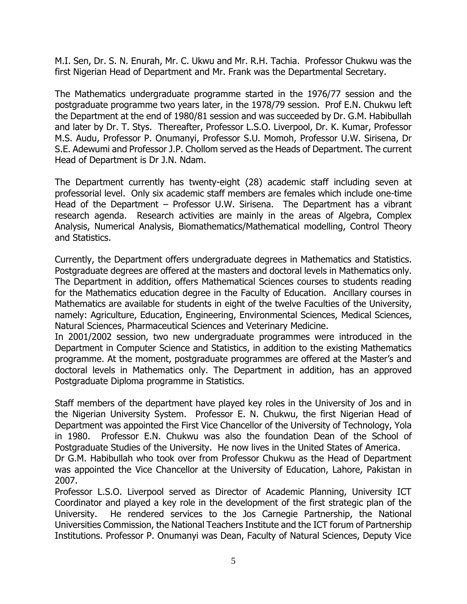M.I. Sen, Dr. S. N. Enurah, Mr. C. Ukwu and Mr. R.H. Tachia. Professor Chukwu was the first Nigerian Head of Department and Mr. Frank was the Departmental Secretary.

The Mathematics undergraduate programme started in the 1976/77 session and the postgraduate programme two years later, in the 1978/79 session. Prof E.N. Chukwu left the Department at the end of 1980/81 session and was succeeded by Dr. G.M. Habibullah and later by Dr. T. Stys. Thereafter, Professor L.S.O. Liverpool, Dr. K. Kumar, Professor M.S. Audu, Professor P. Onumanyi, Professor S.U. Momoh, Professor U.W. Sirisena, Dr S.E. Adewumi and Professor J.P. Chollom served as the Heads of Department. The current Head of Department is Dr J.N. Ndam.

The Department currently has twenty-eight (28) academic staff including seven at professorial level. Only six academic staff members are females which include one-time Head of the Department – Professor U.W. Sirisena. The Department has a vibrant research agenda. Research activities are mainly in the areas of Algebra, Complex Analysis, Numerical Analysis, Biomathematics/Mathematical modelling, Control Theory and Statistics.

Currently, the Department offers undergraduate degrees in Mathematics and Statistics. Postgraduate degrees are offered at the masters and doctoral levels in Mathematics only. The Department in addition, offers Mathematical Sciences courses to students reading for the Mathematics education degree in the Faculty of Education. Ancillary courses in Mathematics are available for students in eight of the twelve Faculties of the University, namely: Agriculture, Education, Engineering, Environmental Sciences, Medical Sciences, Natural Sciences, Pharmaceutical Sciences and Veterinary Medicine.

In 2001/2002 session, two new undergraduate programmes were introduced in the Department in Computer Science and Statistics, in addition to the existing Mathematics programme. At the moment, postgraduate programmes are offered at the Master's and doctoral levels in Mathematics only. The Department in addition, has an approved Postgraduate Diploma programme in Statistics.

Staff members of the department have played key roles in the University of Jos and in the Nigerian University System. Professor E. N. Chukwu, the first Nigerian Head of Department was appointed the First Vice Chancellor of the University of Technology, Yola in 1980. Professor E.N. Chukwu was also the foundation Dean of the School of Postgraduate Studies of the University. He now lives in the United States of America.

Dr G.M. Habibullah who took over from Professor Chukwu as the Head of Department was appointed the Vice Chancellor at the University of Education, Lahore, Pakistan in 2007.

Professor L.S.O. Liverpool served as Director of Academic Planning, University ICT Coordinator and played a key role in the development of the first strategic plan of the University. He rendered services to the Jos Carnegie Partnership, the National Universities Commission, the National Teachers Institute and the ICT forum of Partnership Institutions. Professor P. Onumanyi was Dean, Faculty of Natural Sciences, Deputy Vice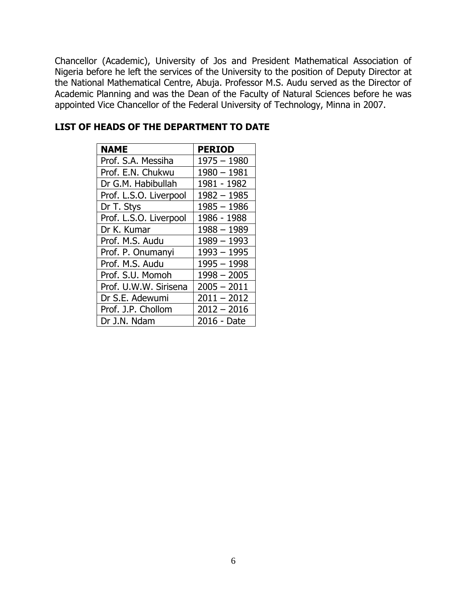Chancellor (Academic), University of Jos and President Mathematical Association of Nigeria before he left the services of the University to the position of Deputy Director at the National Mathematical Centre, Abuja. Professor M.S. Audu served as the Director of Academic Planning and was the Dean of the Faculty of Natural Sciences before he was appointed Vice Chancellor of the Federal University of Technology, Minna in 2007.

| <b>NAME</b>            | <b>PERIOD</b> |
|------------------------|---------------|
| Prof. S.A. Messiha     | $1975 - 1980$ |
| Prof. E.N. Chukwu      | $1980 - 1981$ |
| Dr G.M. Habibullah     | 1981 - 1982   |
| Prof. L.S.O. Liverpool | $1982 - 1985$ |
| Dr T. Stys             | $1985 - 1986$ |
| Prof. L.S.O. Liverpool | 1986 - 1988   |
| Dr K. Kumar            | $1988 - 1989$ |
| Prof. M.S. Audu        | $1989 - 1993$ |
| Prof. P. Onumanyi      | $1993 - 1995$ |
| Prof. M.S. Audu        | $1995 - 1998$ |
| Prof. S.U. Momoh       | $1998 - 2005$ |
| Prof. U.W.W. Sirisena  | $2005 - 2011$ |
| Dr S.E. Adewumi        | $2011 - 2012$ |
| Prof. J.P. Chollom     | $2012 - 2016$ |
| Dr J.N. Ndam           | 2016 - Date   |

#### **LIST OF HEADS OF THE DEPARTMENT TO DATE**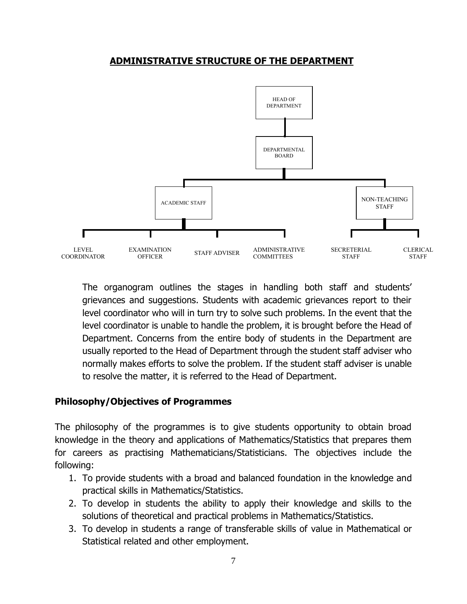#### **ADMINISTRATIVE STRUCTURE OF THE DEPARTMENT**



The organogram outlines the stages in handling both staff and students' grievances and suggestions. Students with academic grievances report to their level coordinator who will in turn try to solve such problems. In the event that the level coordinator is unable to handle the problem, it is brought before the Head of Department. Concerns from the entire body of students in the Department are usually reported to the Head of Department through the student staff adviser who normally makes efforts to solve the problem. If the student staff adviser is unable to resolve the matter, it is referred to the Head of Department.

#### **Philosophy/Objectives of Programmes**

The philosophy of the programmes is to give students opportunity to obtain broad knowledge in the theory and applications of Mathematics/Statistics that prepares them for careers as practising Mathematicians/Statisticians. The objectives include the following:

- 1. To provide students with a broad and balanced foundation in the knowledge and practical skills in Mathematics/Statistics.
- 2. To develop in students the ability to apply their knowledge and skills to the solutions of theoretical and practical problems in Mathematics/Statistics.
- 3. To develop in students a range of transferable skills of value in Mathematical or Statistical related and other employment.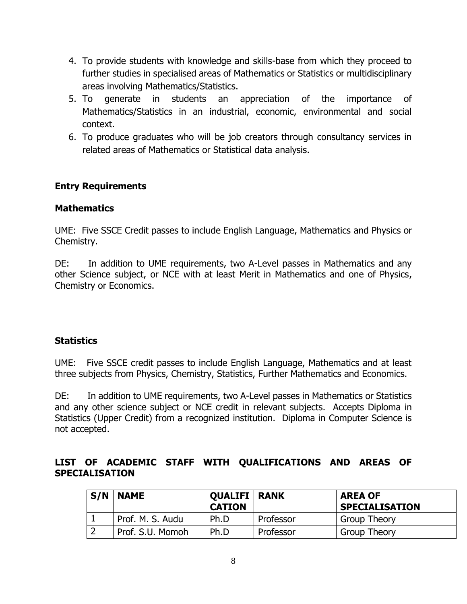- 4. To provide students with knowledge and skills-base from which they proceed to further studies in specialised areas of Mathematics or Statistics or multidisciplinary areas involving Mathematics/Statistics.
- 5. To generate in students an appreciation of the importance of Mathematics/Statistics in an industrial, economic, environmental and social context.
- 6. To produce graduates who will be job creators through consultancy services in related areas of Mathematics or Statistical data analysis.

### **Entry Requirements**

#### **Mathematics**

UME: Five SSCE Credit passes to include English Language, Mathematics and Physics or Chemistry.

DE: In addition to UME requirements, two A-Level passes in Mathematics and any other Science subject, or NCE with at least Merit in Mathematics and one of Physics, Chemistry or Economics.

# **Statistics**

UME: Five SSCE credit passes to include English Language, Mathematics and at least three subjects from Physics, Chemistry, Statistics, Further Mathematics and Economics.

DE: In addition to UME requirements, two A-Level passes in Mathematics or Statistics and any other science subject or NCE credit in relevant subjects. Accepts Diploma in Statistics (Upper Credit) from a recognized institution. Diploma in Computer Science is not accepted.

### **LIST OF ACADEMIC STAFF WITH QUALIFICATIONS AND AREAS OF SPECIALISATION**

| S/N | <b>NAME</b>      | <b>QUALIFI   RANK</b><br><b>CATION</b> |           | <b>AREA OF</b><br><b>SPECIALISATION</b> |
|-----|------------------|----------------------------------------|-----------|-----------------------------------------|
|     | Prof. M. S. Audu | Ph.D                                   | Professor | <b>Group Theory</b>                     |
| ∍   | Prof. S.U. Momoh | Ph.D                                   | Professor | <b>Group Theory</b>                     |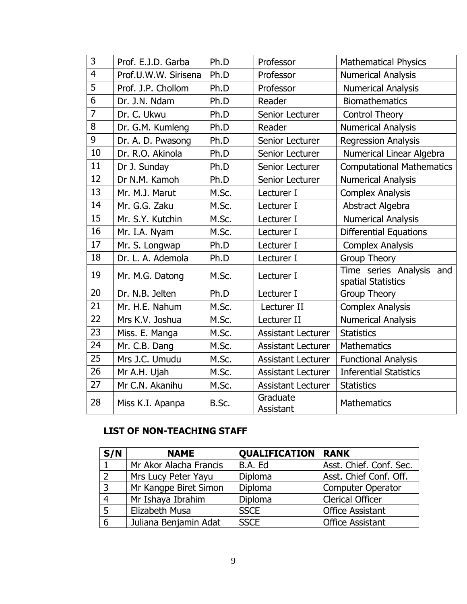| 3              | Prof. E.J.D. Garba   | Ph.D  | Professor                 | <b>Mathematical Physics</b>                    |
|----------------|----------------------|-------|---------------------------|------------------------------------------------|
| $\overline{4}$ | Prof.U.W.W. Sirisena | Ph.D  | Professor                 | <b>Numerical Analysis</b>                      |
| 5              | Prof. J.P. Chollom   | Ph.D  | Professor                 | <b>Numerical Analysis</b>                      |
| 6              | Dr. J.N. Ndam        | Ph.D  | Reader                    | <b>Biomathematics</b>                          |
| $\overline{7}$ | Dr. C. Ukwu          | Ph.D  | Senior Lecturer           | <b>Control Theory</b>                          |
| 8              | Dr. G.M. Kumleng     | Ph.D  | Reader                    | <b>Numerical Analysis</b>                      |
| 9              | Dr. A. D. Pwasong    | Ph.D  | Senior Lecturer           | <b>Regression Analysis</b>                     |
| 10             | Dr. R.O. Akinola     | Ph.D  | Senior Lecturer           | Numerical Linear Algebra                       |
| 11             | Dr J. Sunday         | Ph.D  | Senior Lecturer           | <b>Computational Mathematics</b>               |
| 12             | Dr N.M. Kamoh        | Ph.D  | Senior Lecturer           | <b>Numerical Analysis</b>                      |
| 13             | Mr. M.J. Marut       | M.Sc. | Lecturer I                | <b>Complex Analysis</b>                        |
| 14             | Mr. G.G. Zaku        | M.Sc. | Lecturer I                | Abstract Algebra                               |
| 15             | Mr. S.Y. Kutchin     | M.Sc. | Lecturer I                | <b>Numerical Analysis</b>                      |
| 16             | Mr. I.A. Nyam        | M.Sc. | Lecturer I                | <b>Differential Equations</b>                  |
| 17             | Mr. S. Longwap       | Ph.D  | Lecturer I                | <b>Complex Analysis</b>                        |
| 18             | Dr. L. A. Ademola    | Ph.D  | Lecturer I                | <b>Group Theory</b>                            |
| 19             | Mr. M.G. Datong      | M.Sc. | Lecturer I                | Time series Analysis and<br>spatial Statistics |
| 20             | Dr. N.B. Jelten      | Ph.D  | Lecturer I                | <b>Group Theory</b>                            |
| 21             | Mr. H.E. Nahum       | M.Sc. | Lecturer II               | <b>Complex Analysis</b>                        |
| 22             | Mrs K.V. Joshua      | M.Sc. | Lecturer II               | <b>Numerical Analysis</b>                      |
| 23             | Miss. E. Manga       | M.Sc. | <b>Assistant Lecturer</b> | <b>Statistics</b>                              |
| 24             | Mr. C.B. Dang        | M.Sc. | <b>Assistant Lecturer</b> | <b>Mathematics</b>                             |
| 25             | Mrs J.C. Umudu       | M.Sc. | <b>Assistant Lecturer</b> | <b>Functional Analysis</b>                     |
| 26             | Mr A.H. Ujah         | M.Sc. | <b>Assistant Lecturer</b> | <b>Inferential Statistics</b>                  |
| 27             | Mr C.N. Akanihu      | M.Sc. | <b>Assistant Lecturer</b> | <b>Statistics</b>                              |
| 28             | Miss K.I. Apanpa     | B.Sc. | Graduate<br>Assistant     | <b>Mathematics</b>                             |

# **LIST OF NON-TEACHING STAFF**

| S/N | <b>NAME</b>            | <b>QUALIFICATION   RANK</b> |                          |
|-----|------------------------|-----------------------------|--------------------------|
|     | Mr Akor Alacha Francis | B.A. Ed                     | Asst. Chief. Conf. Sec.  |
|     | Mrs Lucy Peter Yayu    | Diploma                     | Asst. Chief Conf. Off.   |
|     | Mr Kangpe Biret Simon  | Diploma                     | <b>Computer Operator</b> |
| 4   | Mr Ishaya Ibrahim      | Diploma                     | <b>Clerical Officer</b>  |
| 5   | Elizabeth Musa         | <b>SSCE</b>                 | <b>Office Assistant</b>  |
| 6   | Juliana Benjamin Adat  | <b>SSCE</b>                 | <b>Office Assistant</b>  |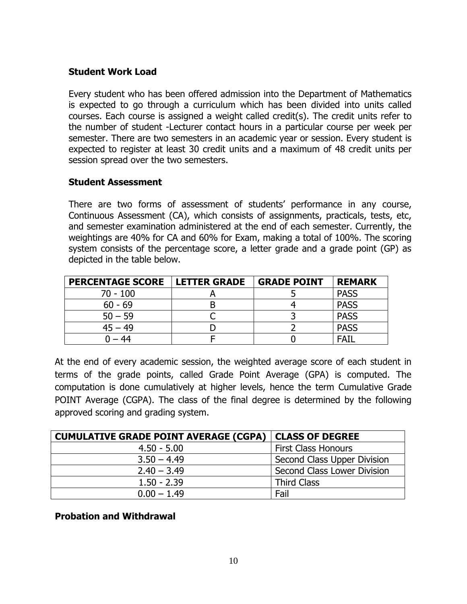#### **Student Work Load**

Every student who has been offered admission into the Department of Mathematics is expected to go through a curriculum which has been divided into units called courses. Each course is assigned a weight called credit(s). The credit units refer to the number of student -Lecturer contact hours in a particular course per week per semester. There are two semesters in an academic year or session. Every student is expected to register at least 30 credit units and a maximum of 48 credit units per session spread over the two semesters.

#### **Student Assessment**

There are two forms of assessment of students' performance in any course, Continuous Assessment (CA), which consists of assignments, practicals, tests, etc, and semester examination administered at the end of each semester. Currently, the weightings are 40% for CA and 60% for Exam, making a total of 100%. The scoring system consists of the percentage score, a letter grade and a grade point (GP) as depicted in the table below.

| <b>PERCENTAGE SCORE</b> | <b>LETTER GRADE</b> | <b>GRADE POINT</b> | <b>REMARK</b> |
|-------------------------|---------------------|--------------------|---------------|
| $70 - 100$              |                     |                    | <b>PASS</b>   |
| $60 - 69$               |                     |                    | <b>PASS</b>   |
| $50 - 59$               |                     |                    | <b>PASS</b>   |
| $45 - 49$               |                     |                    | <b>PASS</b>   |
| 44                      |                     |                    | FATI          |

At the end of every academic session, the weighted average score of each student in terms of the grade points, called Grade Point Average (GPA) is computed. The computation is done cumulatively at higher levels, hence the term Cumulative Grade POINT Average (CGPA). The class of the final degree is determined by the following approved scoring and grading system.

| <b>CUMULATIVE GRADE POINT AVERAGE (CGPA)</b> | <b>CLASS OF DEGREE</b>      |
|----------------------------------------------|-----------------------------|
| $4.50 - 5.00$                                | <b>First Class Honours</b>  |
| $3.50 - 4.49$                                | Second Class Upper Division |
| $2.40 - 3.49$                                | Second Class Lower Division |
| $1.50 - 2.39$                                | <b>Third Class</b>          |
| $0.00 - 1.49$                                | Fail                        |

#### **Probation and Withdrawal**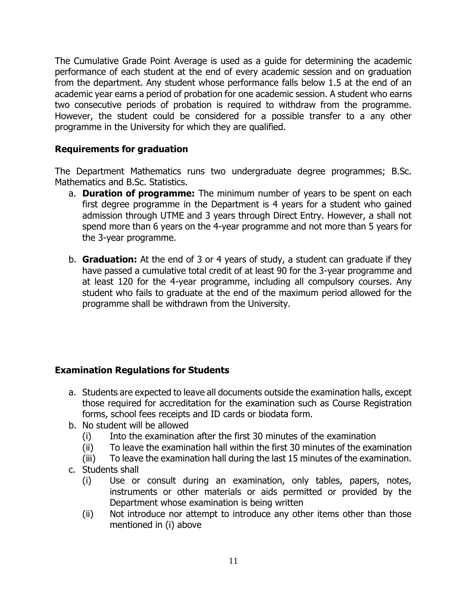The Cumulative Grade Point Average is used as a guide for determining the academic performance of each student at the end of every academic session and on graduation from the department. Any student whose performance falls below 1.5 at the end of an academic year earns a period of probation for one academic session. A student who earns two consecutive periods of probation is required to withdraw from the programme. However, the student could be considered for a possible transfer to a any other programme in the University for which they are qualified.

# **Requirements for graduation**

The Department Mathematics runs two undergraduate degree programmes; B.Sc. Mathematics and B.Sc. Statistics.

- a. **Duration of programme:** The minimum number of years to be spent on each first degree programme in the Department is 4 years for a student who gained admission through UTME and 3 years through Direct Entry. However, a shall not spend more than 6 years on the 4-year programme and not more than 5 years for the 3-year programme.
- b. **Graduation:** At the end of 3 or 4 years of study, a student can graduate if they have passed a cumulative total credit of at least 90 for the 3-year programme and at least 120 for the 4-year programme, including all compulsory courses. Any student who fails to graduate at the end of the maximum period allowed for the programme shall be withdrawn from the University.

# **Examination Regulations for Students**

- a. Students are expected to leave all documents outside the examination halls, except those required for accreditation for the examination such as Course Registration forms, school fees receipts and ID cards or biodata form.
- b. No student will be allowed
	- (i) Into the examination after the first 30 minutes of the examination
	- (ii) To leave the examination hall within the first 30 minutes of the examination
	- (iii) To leave the examination hall during the last 15 minutes of the examination.
- c. Students shall
	- (i) Use or consult during an examination, only tables, papers, notes, instruments or other materials or aids permitted or provided by the Department whose examination is being written
	- (ii) Not introduce nor attempt to introduce any other items other than those mentioned in (i) above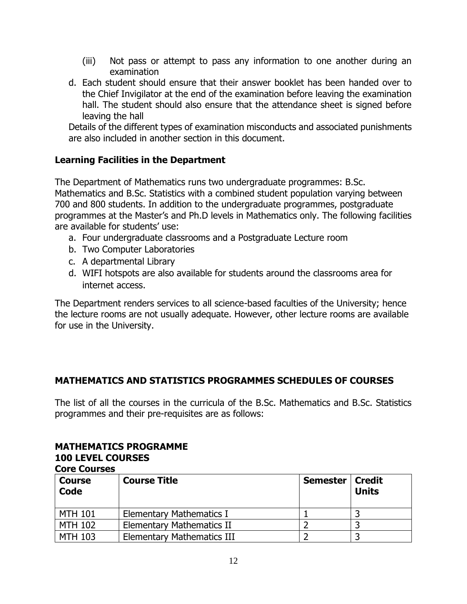- (iii) Not pass or attempt to pass any information to one another during an examination
- d. Each student should ensure that their answer booklet has been handed over to the Chief Invigilator at the end of the examination before leaving the examination hall. The student should also ensure that the attendance sheet is signed before leaving the hall

Details of the different types of examination misconducts and associated punishments are also included in another section in this document.

### **Learning Facilities in the Department**

The Department of Mathematics runs two undergraduate programmes: B.Sc. Mathematics and B.Sc. Statistics with a combined student population varying between 700 and 800 students. In addition to the undergraduate programmes, postgraduate programmes at the Master's and Ph.D levels in Mathematics only. The following facilities are available for students' use:

- a. Four undergraduate classrooms and a Postgraduate Lecture room
- b. Two Computer Laboratories
- c. A departmental Library
- d. WIFI hotspots are also available for students around the classrooms area for internet access.

The Department renders services to all science-based faculties of the University; hence the lecture rooms are not usually adequate. However, other lecture rooms are available for use in the University.

#### **MATHEMATICS AND STATISTICS PROGRAMMES SCHEDULES OF COURSES**

The list of all the courses in the curricula of the B.Sc. Mathematics and B.Sc. Statistics programmes and their pre-requisites are as follows:

#### **MATHEMATICS PROGRAMME 100 LEVEL COURSES Core Courses**

| <b>Course</b><br><b>Code</b> | <b>Course Title</b>               | <b>Semester</b> | Credit<br><b>Units</b> |
|------------------------------|-----------------------------------|-----------------|------------------------|
| <b>MTH 101</b>               | <b>Elementary Mathematics I</b>   |                 |                        |
| <b>MTH 102</b>               | <b>Elementary Mathematics II</b>  |                 |                        |
| <b>MTH 103</b>               | <b>Elementary Mathematics III</b> |                 |                        |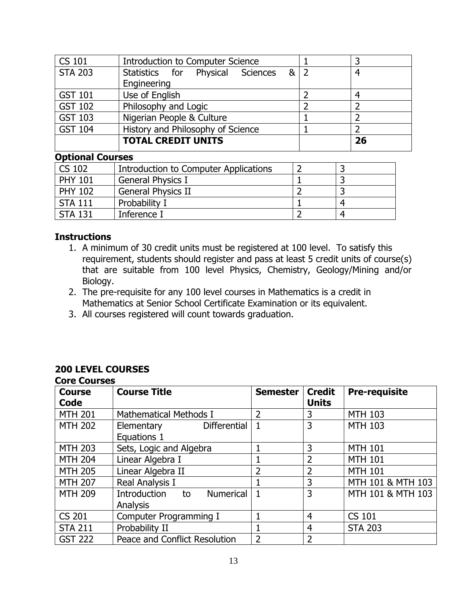| <b>CS 101</b>  | <b>Introduction to Computer Science</b> | 3  |
|----------------|-----------------------------------------|----|
| <b>STA 203</b> | 8 2<br>Statistics for Physical Sciences | 4  |
|                | Engineering                             |    |
| <b>GST 101</b> | Use of English                          |    |
| <b>GST 102</b> | Philosophy and Logic                    |    |
| <b>GST 103</b> | Nigerian People & Culture               |    |
| <b>GST 104</b> | History and Philosophy of Science       |    |
|                | <b>TOTAL CREDIT UNITS</b>               | 26 |

#### **Optional Courses**

| CS 102         | Introduction to Computer Applications |  |
|----------------|---------------------------------------|--|
| <b>PHY 101</b> | <b>General Physics I</b>              |  |
| <b>PHY 102</b> | <b>General Physics II</b>             |  |
| <b>STA 111</b> | Probability I                         |  |
| <b>STA 131</b> | Inference I                           |  |

#### **Instructions**

- 1. A minimum of 30 credit units must be registered at 100 level. To satisfy this requirement, students should register and pass at least 5 credit units of course(s) that are suitable from 100 level Physics, Chemistry, Geology/Mining and/or Biology.
- 2. The pre-requisite for any 100 level courses in Mathematics is a credit in Mathematics at Senior School Certificate Examination or its equivalent.
- 3. All courses registered will count towards graduation.

#### **200 LEVEL COURSES Core Courses**

| LUI C LUUI SCS        |                                                           |                 |                               |                      |
|-----------------------|-----------------------------------------------------------|-----------------|-------------------------------|----------------------|
| <b>Course</b><br>Code | <b>Course Title</b>                                       | <b>Semester</b> | <b>Credit</b><br><b>Units</b> | <b>Pre-requisite</b> |
|                       |                                                           |                 |                               |                      |
| <b>MTH 201</b>        | <b>Mathematical Methods I</b>                             | $\overline{2}$  | 3                             | <b>MTH 103</b>       |
| <b>MTH 202</b>        | Elementary<br><b>Differential</b>                         | $\mathbf{1}$    | $\overline{3}$                | <b>MTH 103</b>       |
|                       | Equations 1                                               |                 |                               |                      |
| <b>MTH 203</b>        | Sets, Logic and Algebra                                   |                 | 3                             | <b>MTH 101</b>       |
| <b>MTH 204</b>        | Linear Algebra I                                          | 1               | $\overline{2}$                | <b>MTH 101</b>       |
| <b>MTH 205</b>        | Linear Algebra II                                         | $\overline{2}$  | $\overline{2}$                | <b>MTH 101</b>       |
| <b>MTH 207</b>        | Real Analysis I                                           |                 | 3                             | MTH 101 & MTH 103    |
| <b>MTH 209</b>        | Introduction<br><b>Numerical</b><br>to<br><b>Analysis</b> |                 | 3                             | MTH 101 & MTH 103    |
| <b>CS 201</b>         | Computer Programming I                                    |                 | $\overline{4}$                | <b>CS 101</b>        |
| <b>STA 211</b>        | Probability II                                            |                 | $\overline{4}$                | <b>STA 203</b>       |
| <b>GST 222</b>        | Peace and Conflict Resolution                             | $\overline{2}$  | $\overline{2}$                |                      |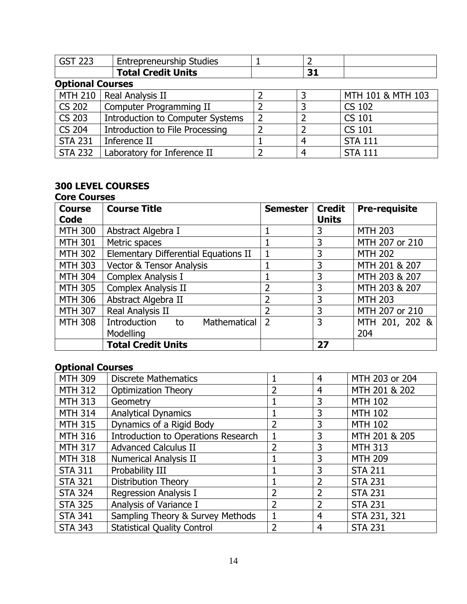| <b>GST 223</b>          | <b>Entrepreneurship Studies</b>         |   |    |                   |
|-------------------------|-----------------------------------------|---|----|-------------------|
|                         | <b>Total Credit Units</b>               |   | 31 |                   |
| <b>Optional Courses</b> |                                         |   |    |                   |
|                         | MTH 210   Real Analysis II              |   | 3  | MTH 101 & MTH 103 |
| <b>CS 202</b>           | Computer Programming II                 |   | 3  | <b>CS 102</b>     |
| <b>CS 203</b>           | <b>Introduction to Computer Systems</b> | 2 | 2  | <b>CS 101</b>     |
| <b>CS 204</b>           | <b>Introduction to File Processing</b>  |   | 2  | <b>CS 101</b>     |
| <b>STA 231</b>          | Inference II                            |   | 4  | <b>STA 111</b>    |
| <b>STA 232</b>          | Laboratory for Inference II             |   | 4  | <b>STA 111</b>    |

# **300 LEVEL COURSES**

# **Core Courses**

| <b>Course</b><br>Code | <b>Course Title</b>                  | <b>Semester</b> | <b>Credit</b><br><b>Units</b> | <b>Pre-requisite</b> |
|-----------------------|--------------------------------------|-----------------|-------------------------------|----------------------|
| <b>MTH 300</b>        | Abstract Algebra I                   |                 | 3                             | <b>MTH 203</b>       |
| <b>MTH 301</b>        | Metric spaces                        |                 | 3                             | MTH 207 or 210       |
| <b>MTH 302</b>        | Elementary Differential Equations II |                 | 3                             | <b>MTH 202</b>       |
| <b>MTH 303</b>        | <b>Vector &amp; Tensor Analysis</b>  |                 | 3                             | MTH 201 & 207        |
| <b>MTH 304</b>        | Complex Analysis I                   |                 | 3                             | MTH 203 & 207        |
| <b>MTH 305</b>        | Complex Analysis II                  | 2               | 3                             | MTH 203 & 207        |
| <b>MTH 306</b>        | Abstract Algebra II                  | $\overline{2}$  | 3                             | <b>MTH 203</b>       |
| <b>MTH 307</b>        | Real Analysis II                     | $\overline{2}$  | 3                             | MTH 207 or 210       |
| <b>MTH 308</b>        | Introduction<br>Mathematical<br>to   | $\overline{2}$  | 3                             | MTH 201, 202 &       |
|                       | Modelling                            |                 |                               | 204                  |
|                       | <b>Total Credit Units</b>            |                 | 27                            |                      |

# **Optional Courses**

| <b>MTH 309</b> | <b>Discrete Mathematics</b>                |                | 4              | MTH 203 or 204 |
|----------------|--------------------------------------------|----------------|----------------|----------------|
| <b>MTH 312</b> | <b>Optimization Theory</b>                 | $\overline{2}$ | 4              | MTH 201 & 202  |
| <b>MTH 313</b> | Geometry                                   |                | 3              | <b>MTH 102</b> |
| <b>MTH 314</b> | <b>Analytical Dynamics</b>                 |                | 3              | <b>MTH 102</b> |
| <b>MTH 315</b> | Dynamics of a Rigid Body                   | $\overline{2}$ | 3              | <b>MTH 102</b> |
| <b>MTH 316</b> | <b>Introduction to Operations Research</b> |                | 3              | MTH 201 & 205  |
| <b>MTH 317</b> | <b>Advanced Calculus II</b>                | $\overline{2}$ | 3              | <b>MTH 313</b> |
| <b>MTH 318</b> | <b>Numerical Analysis II</b>               |                | 3              | <b>MTH 209</b> |
| <b>STA 311</b> | Probability III                            |                | 3              | <b>STA 211</b> |
| <b>STA 321</b> | <b>Distribution Theory</b>                 |                | $\overline{2}$ | <b>STA 231</b> |
| <b>STA 324</b> | Regression Analysis I                      | 2              | $\overline{2}$ | <b>STA 231</b> |
| <b>STA 325</b> | Analysis of Variance I                     | 2              | $\overline{2}$ | <b>STA 231</b> |
| <b>STA 341</b> | Sampling Theory & Survey Methods           |                | 4              | STA 231, 321   |
| <b>STA 343</b> | <b>Statistical Quality Control</b>         | $\overline{2}$ | 4              | <b>STA 231</b> |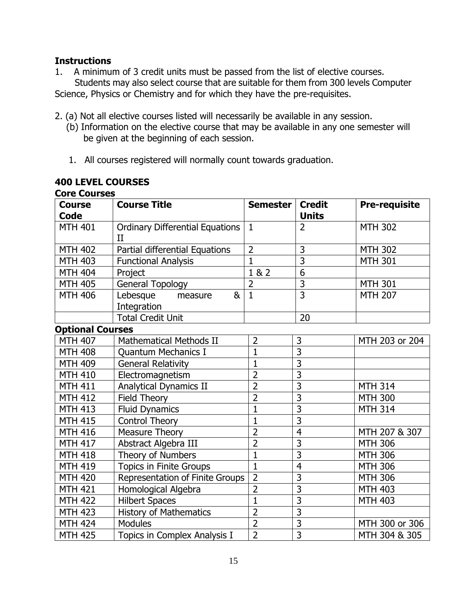### **Instructions**

1. A minimum of 3 credit units must be passed from the list of elective courses.

 Students may also select course that are suitable for them from 300 levels Computer Science, Physics or Chemistry and for which they have the pre-requisites.

- 2. (a) Not all elective courses listed will necessarily be available in any session.
	- (b) Information on the elective course that may be available in any one semester will be given at the beginning of each session.
	- 1. All courses registered will normally count towards graduation.

| <b>400 LEVEL COURSES</b> |  |
|--------------------------|--|
| Core Courses             |  |

| <b>Course</b><br><b>Code</b> | <b>Course Title</b>                                   | Semester       | <b>Credit</b><br><b>Units</b> | <b>Pre-requisite</b> |
|------------------------------|-------------------------------------------------------|----------------|-------------------------------|----------------------|
| <b>MTH 401</b>               | <b>Ordinary Differential Equations</b><br>$_{\rm II}$ | $\mathbf{1}$   | $\overline{2}$                | <b>MTH 302</b>       |
| <b>MTH 402</b>               | Partial differential Equations                        | $\overline{2}$ | 3                             | <b>MTH 302</b>       |
| <b>MTH 403</b>               | <b>Functional Analysis</b>                            | $\mathbf{1}$   | $\overline{3}$                | <b>MTH 301</b>       |
| <b>MTH 404</b>               | Project                                               | 1 & 2          | 6                             |                      |
| <b>MTH 405</b>               | General Topology                                      | $\overline{2}$ | 3                             | <b>MTH 301</b>       |
| <b>MTH 406</b>               | Lebesque<br>&<br>measure<br>Integration               | $\mathbf{1}$   | $\overline{3}$                | <b>MTH 207</b>       |
|                              | <b>Total Credit Unit</b>                              |                | 20                            |                      |
| <b>Optional Courses</b>      |                                                       |                |                               |                      |
| <b>MTH 407</b>               | <b>Mathematical Methods II</b>                        | $\overline{2}$ | 3                             | MTH 203 or 204       |
| <b>MTH 408</b>               | <b>Quantum Mechanics I</b>                            | $\mathbf{1}$   | $\overline{3}$                |                      |
| <b>MTH 409</b>               | <b>General Relativity</b>                             | $\mathbf{1}$   | $\overline{3}$                |                      |
| <b>MTH 410</b>               | Electromagnetism                                      | $\overline{2}$ | $\overline{3}$                |                      |
| <b>MTH 411</b>               | Analytical Dynamics II                                | $\overline{2}$ | $\overline{3}$                | <b>MTH 314</b>       |
| <b>MTH 412</b>               | <b>Field Theory</b>                                   | $\overline{2}$ | $\overline{3}$                | <b>MTH 300</b>       |
| <b>MTH 413</b>               | <b>Fluid Dynamics</b>                                 | $\mathbf{1}$   | $\overline{3}$                | <b>MTH 314</b>       |
| <b>MTH 415</b>               | <b>Control Theory</b>                                 | $\mathbf{1}$   | $\overline{3}$                |                      |
| <b>MTH 416</b>               | <b>Measure Theory</b>                                 | $\overline{2}$ | $\overline{4}$                | MTH 207 & 307        |
| <b>MTH 417</b>               | Abstract Algebra III                                  | $\overline{2}$ | $\overline{3}$                | <b>MTH 306</b>       |
| <b>MTH 418</b>               | <b>Theory of Numbers</b>                              | $\overline{1}$ | 3                             | <b>MTH 306</b>       |
| <b>MTH 419</b>               | Topics in Finite Groups                               | $\mathbf{1}$   | $\overline{4}$                | <b>MTH 306</b>       |
| <b>MTH 420</b>               | <b>Representation of Finite Groups</b>                | $\overline{2}$ | $\overline{3}$                | <b>MTH 306</b>       |
| <b>MTH 421</b>               | Homological Algebra                                   | $\overline{2}$ | $\overline{3}$                | <b>MTH 403</b>       |
| <b>MTH 422</b>               | <b>Hilbert Spaces</b>                                 | $\overline{1}$ | 3                             | <b>MTH 403</b>       |
| <b>MTH 423</b>               | <b>History of Mathematics</b>                         | $\overline{2}$ | $\overline{3}$                |                      |
| <b>MTH 424</b>               | <b>Modules</b>                                        | $\overline{2}$ | 3                             | MTH 300 or 306       |
| <b>MTH 425</b>               | Topics in Complex Analysis I                          | $\overline{2}$ | $\overline{3}$                | MTH 304 & 305        |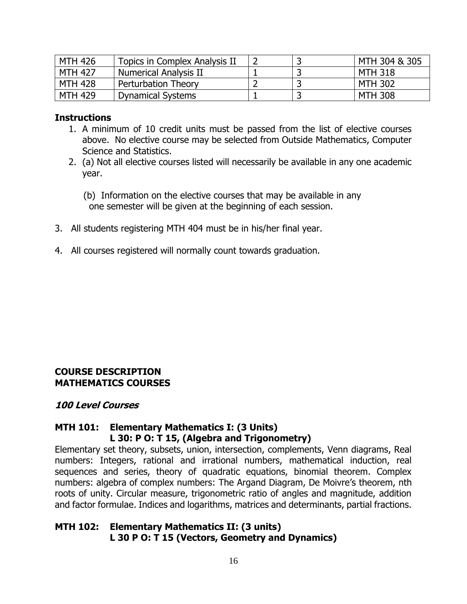| <b>MTH 426</b> | Topics in Complex Analysis II |  | MTH 304 & 305  |
|----------------|-------------------------------|--|----------------|
| <b>MTH 427</b> | Numerical Analysis II         |  | MTH 318        |
| <b>MTH 428</b> | Perturbation Theory           |  | <b>MTH 302</b> |
| <b>MTH 429</b> | <b>Dynamical Systems</b>      |  | <b>MTH 308</b> |

#### **Instructions**

- 1. A minimum of 10 credit units must be passed from the list of elective courses above. No elective course may be selected from Outside Mathematics, Computer Science and Statistics.
- 2. (a) Not all elective courses listed will necessarily be available in any one academic year.
	- (b) Information on the elective courses that may be available in any one semester will be given at the beginning of each session.
- 3. All students registering MTH 404 must be in his/her final year.
- 4. All courses registered will normally count towards graduation.

#### **COURSE DESCRIPTION MATHEMATICS COURSES**

#### **100 Level Courses**

#### **MTH 101: Elementary Mathematics I: (3 Units) L 30: P O: T 15, (Algebra and Trigonometry)**

Elementary set theory, subsets, union, intersection, complements, Venn diagrams, Real numbers: Integers, rational and irrational numbers, mathematical induction, real sequences and series, theory of quadratic equations, binomial theorem. Complex numbers: algebra of complex numbers: The Argand Diagram, De Moivre's theorem, nth roots of unity. Circular measure, trigonometric ratio of angles and magnitude, addition and factor formulae. Indices and logarithms, matrices and determinants, partial fractions.

#### **MTH 102: Elementary Mathematics II: (3 units) L 30 P O: T 15 (Vectors, Geometry and Dynamics)**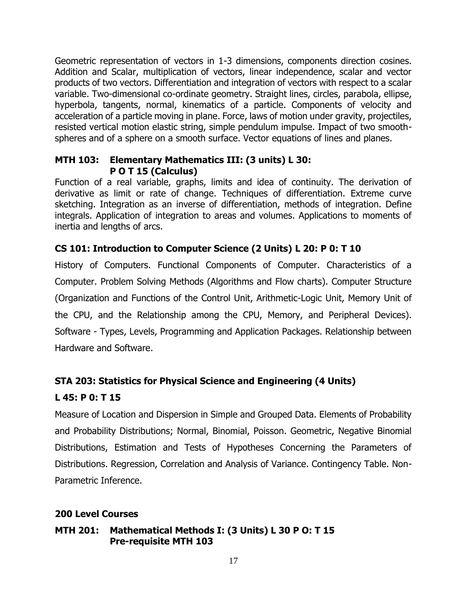Geometric representation of vectors in 1-3 dimensions, components direction cosines. Addition and Scalar, multiplication of vectors, linear independence, scalar and vector products of two vectors. Differentiation and integration of vectors with respect to a scalar variable. Two-dimensional co-ordinate geometry. Straight lines, circles, parabola, ellipse, hyperbola, tangents, normal, kinematics of a particle. Components of velocity and acceleration of a particle moving in plane. Force, laws of motion under gravity, projectiles, resisted vertical motion elastic string, simple pendulum impulse. Impact of two smoothspheres and of a sphere on a smooth surface. Vector equations of lines and planes.

#### **MTH 103: Elementary Mathematics III: (3 units) L 30: P O T 15 (Calculus)**

Function of a real variable, graphs, limits and idea of continuity. The derivation of derivative as limit or rate of change. Techniques of differentiation. Extreme curve sketching. Integration as an inverse of differentiation, methods of integration. Define integrals. Application of integration to areas and volumes. Applications to moments of inertia and lengths of arcs.

# **CS 101: Introduction to Computer Science (2 Units) L 20: P 0: T 10**

History of Computers. Functional Components of Computer. Characteristics of a Computer. Problem Solving Methods (Algorithms and Flow charts). Computer Structure (Organization and Functions of the Control Unit, Arithmetic-Logic Unit, Memory Unit of the CPU, and the Relationship among the CPU, Memory, and Peripheral Devices). Software - Types, Levels, Programming and Application Packages. Relationship between Hardware and Software.

# **STA 203: Statistics for Physical Science and Engineering (4 Units)**

# **L 45: P 0: T 15**

Measure of Location and Dispersion in Simple and Grouped Data. Elements of Probability and Probability Distributions; Normal, Binomial, Poisson. Geometric, Negative Binomial Distributions, Estimation and Tests of Hypotheses Concerning the Parameters of Distributions. Regression, Correlation and Analysis of Variance. Contingency Table. Non-Parametric Inference.

# **200 Level Courses**

### **MTH 201: Mathematical Methods I: (3 Units) L 30 P O: T 15 Pre-requisite MTH 103**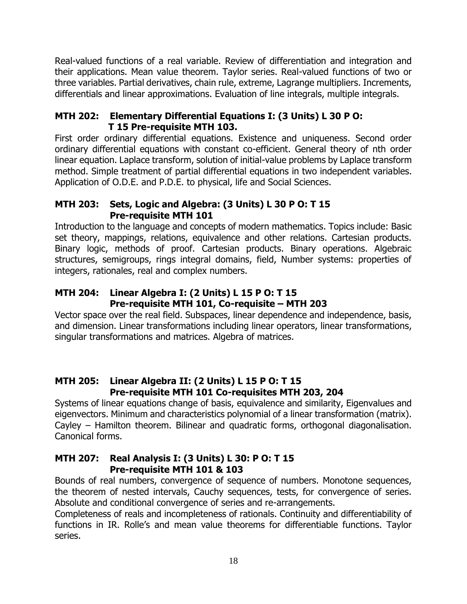Real-valued functions of a real variable. Review of differentiation and integration and their applications. Mean value theorem. Taylor series. Real-valued functions of two or three variables. Partial derivatives, chain rule, extreme, Lagrange multipliers. Increments, differentials and linear approximations. Evaluation of line integrals, multiple integrals.

### **MTH 202: Elementary Differential Equations I: (3 Units) L 30 P O: T 15 Pre-requisite MTH 103.**

First order ordinary differential equations. Existence and uniqueness. Second order ordinary differential equations with constant co-efficient. General theory of nth order linear equation. Laplace transform, solution of initial-value problems by Laplace transform method. Simple treatment of partial differential equations in two independent variables. Application of O.D.E. and P.D.E. to physical, life and Social Sciences.

# **MTH 203: Sets, Logic and Algebra: (3 Units) L 30 P O: T 15 Pre-requisite MTH 101**

Introduction to the language and concepts of modern mathematics. Topics include: Basic set theory, mappings, relations, equivalence and other relations. Cartesian products. Binary logic, methods of proof. Cartesian products. Binary operations. Algebraic structures, semigroups, rings integral domains, field, Number systems: properties of integers, rationales, real and complex numbers.

# **MTH 204: Linear Algebra I: (2 Units) L 15 P O: T 15 Pre-requisite MTH 101, Co-requisite – MTH 203**

Vector space over the real field. Subspaces, linear dependence and independence, basis, and dimension. Linear transformations including linear operators, linear transformations, singular transformations and matrices. Algebra of matrices.

# **MTH 205: Linear Algebra II: (2 Units) L 15 P O: T 15 Pre-requisite MTH 101 Co-requisites MTH 203, 204**

Systems of linear equations change of basis, equivalence and similarity, Eigenvalues and eigenvectors. Minimum and characteristics polynomial of a linear transformation (matrix). Cayley – Hamilton theorem. Bilinear and quadratic forms, orthogonal diagonalisation. Canonical forms.

# **MTH 207: Real Analysis I: (3 Units) L 30: P O: T 15 Pre-requisite MTH 101 & 103**

Bounds of real numbers, convergence of sequence of numbers. Monotone sequences, the theorem of nested intervals, Cauchy sequences, tests, for convergence of series. Absolute and conditional convergence of series and re-arrangements.

Completeness of reals and incompleteness of rationals. Continuity and differentiability of functions in IR. Rolle's and mean value theorems for differentiable functions. Taylor series.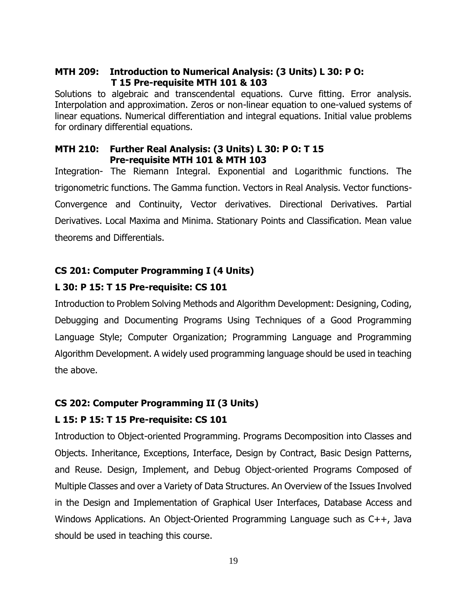### **MTH 209: Introduction to Numerical Analysis: (3 Units) L 30: P O: T 15 Pre-requisite MTH 101 & 103**

Solutions to algebraic and transcendental equations. Curve fitting. Error analysis. Interpolation and approximation. Zeros or non-linear equation to one-valued systems of linear equations. Numerical differentiation and integral equations. Initial value problems for ordinary differential equations.

#### **MTH 210: Further Real Analysis: (3 Units) L 30: P O: T 15 Pre-requisite MTH 101 & MTH 103**

Integration- The Riemann Integral. Exponential and Logarithmic functions. The trigonometric functions. The Gamma function. Vectors in Real Analysis. Vector functions-Convergence and Continuity, Vector derivatives. Directional Derivatives. Partial Derivatives. Local Maxima and Minima. Stationary Points and Classification. Mean value theorems and Differentials.

# **CS 201: Computer Programming I (4 Units)**

# **L 30: P 15: T 15 Pre-requisite: CS 101**

Introduction to Problem Solving Methods and Algorithm Development: Designing, Coding, Debugging and Documenting Programs Using Techniques of a Good Programming Language Style; Computer Organization; Programming Language and Programming Algorithm Development. A widely used programming language should be used in teaching the above.

# **CS 202: Computer Programming II (3 Units)**

# **L 15: P 15: T 15 Pre-requisite: CS 101**

Introduction to Object-oriented Programming. Programs Decomposition into Classes and Objects. Inheritance, Exceptions, Interface, Design by Contract, Basic Design Patterns, and Reuse. Design, Implement, and Debug Object-oriented Programs Composed of Multiple Classes and over a Variety of Data Structures. An Overview of the Issues Involved in the Design and Implementation of Graphical User Interfaces, Database Access and Windows Applications. An Object-Oriented Programming Language such as C++, Java should be used in teaching this course.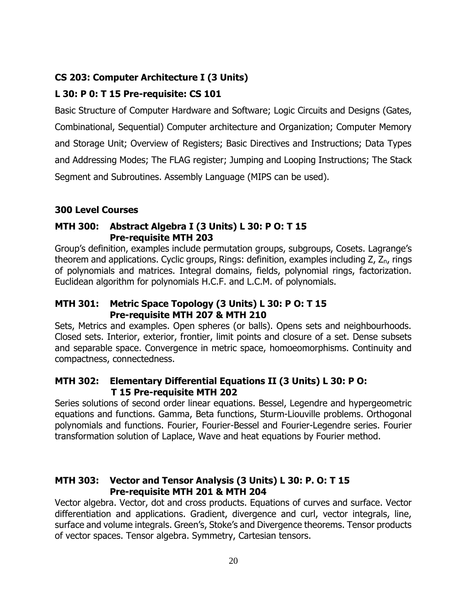# **CS 203: Computer Architecture I (3 Units)**

# **L 30: P 0: T 15 Pre-requisite: CS 101**

Basic Structure of Computer Hardware and Software; Logic Circuits and Designs (Gates, Combinational, Sequential) Computer architecture and Organization; Computer Memory and Storage Unit; Overview of Registers; Basic Directives and Instructions; Data Types and Addressing Modes; The FLAG register; Jumping and Looping Instructions; The Stack Segment and Subroutines. Assembly Language (MIPS can be used).

# **300 Level Courses**

#### **MTH 300: Abstract Algebra I (3 Units) L 30: P O: T 15 Pre-requisite MTH 203**

Group's definition, examples include permutation groups, subgroups, Cosets. Lagrange's theorem and applications. Cyclic groups, Rings: definition, examples including  $Z$ ,  $Z_n$ , rings of polynomials and matrices. Integral domains, fields, polynomial rings, factorization. Euclidean algorithm for polynomials H.C.F. and L.C.M. of polynomials.

#### **MTH 301: Metric Space Topology (3 Units) L 30: P O: T 15 Pre-requisite MTH 207 & MTH 210**

Sets, Metrics and examples. Open spheres (or balls). Opens sets and neighbourhoods. Closed sets. Interior, exterior, frontier, limit points and closure of a set. Dense subsets and separable space. Convergence in metric space, homoeomorphisms. Continuity and compactness, connectedness.

### **MTH 302: Elementary Differential Equations II (3 Units) L 30: P O: T 15 Pre-requisite MTH 202**

Series solutions of second order linear equations. Bessel, Legendre and hypergeometric equations and functions. Gamma, Beta functions, Sturm-Liouville problems. Orthogonal polynomials and functions. Fourier, Fourier-Bessel and Fourier-Legendre series. Fourier transformation solution of Laplace, Wave and heat equations by Fourier method.

### **MTH 303: Vector and Tensor Analysis (3 Units) L 30: P. O: T 15 Pre-requisite MTH 201 & MTH 204**

Vector algebra. Vector, dot and cross products. Equations of curves and surface. Vector differentiation and applications. Gradient, divergence and curl, vector integrals, line, surface and volume integrals. Green's, Stoke's and Divergence theorems. Tensor products of vector spaces. Tensor algebra. Symmetry, Cartesian tensors.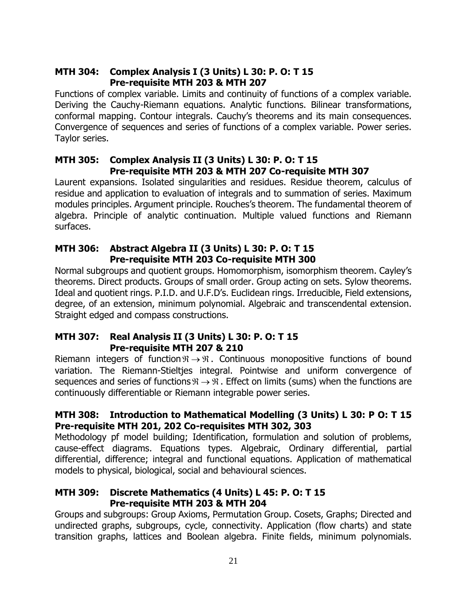# **MTH 304: Complex Analysis I (3 Units) L 30: P. O: T 15 Pre-requisite MTH 203 & MTH 207**

Functions of complex variable. Limits and continuity of functions of a complex variable. Deriving the Cauchy-Riemann equations. Analytic functions. Bilinear transformations, conformal mapping. Contour integrals. Cauchy's theorems and its main consequences. Convergence of sequences and series of functions of a complex variable. Power series. Taylor series.

#### **MTH 305: Complex Analysis II (3 Units) L 30: P. O: T 15 Pre-requisite MTH 203 & MTH 207 Co-requisite MTH 307**

Laurent expansions. Isolated singularities and residues. Residue theorem, calculus of residue and application to evaluation of integrals and to summation of series. Maximum modules principles. Argument principle. Rouches's theorem. The fundamental theorem of algebra. Principle of analytic continuation. Multiple valued functions and Riemann surfaces.

# **MTH 306: Abstract Algebra II (3 Units) L 30: P. O: T 15 Pre-requisite MTH 203 Co-requisite MTH 300**

Normal subgroups and quotient groups. Homomorphism, isomorphism theorem. Cayley's theorems. Direct products. Groups of small order. Group acting on sets. Sylow theorems. Ideal and quotient rings. P.I.D. and U.F.D's. Euclidean rings. Irreducible, Field extensions, degree, of an extension, minimum polynomial. Algebraic and transcendental extension. Straight edged and compass constructions.

### **MTH 307: Real Analysis II (3 Units) L 30: P. O: T 15 Pre-requisite MTH 207 & 210**

Riemann integers of function  $\Re \rightarrow \Re$ . Continuous monopositive functions of bound variation. The Riemann-Stieltjes integral. Pointwise and uniform convergence of sequences and series of functions  $\Re \rightarrow \Re$  . Effect on limits (sums) when the functions are continuously differentiable or Riemann integrable power series.

# **MTH 308: Introduction to Mathematical Modelling (3 Units) L 30: P O: T 15 Pre-requisite MTH 201, 202 Co-requisites MTH 302, 303**

Methodology pf model building; Identification, formulation and solution of problems, cause-effect diagrams. Equations types. Algebraic, Ordinary differential, partial differential, difference; integral and functional equations. Application of mathematical models to physical, biological, social and behavioural sciences.

# **MTH 309: Discrete Mathematics (4 Units) L 45: P. O: T 15 Pre-requisite MTH 203 & MTH 204**

Groups and subgroups: Group Axioms, Permutation Group. Cosets, Graphs; Directed and undirected graphs, subgroups, cycle, connectivity. Application (flow charts) and state transition graphs, lattices and Boolean algebra. Finite fields, minimum polynomials.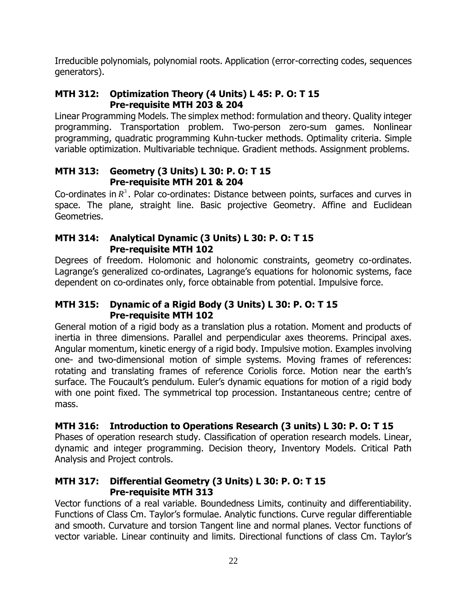Irreducible polynomials, polynomial roots. Application (error-correcting codes, sequences generators).

# **MTH 312: Optimization Theory (4 Units) L 45: P. O: T 15 Pre-requisite MTH 203 & 204**

Linear Programming Models. The simplex method: formulation and theory. Quality integer programming. Transportation problem. Two-person zero-sum games. Nonlinear programming, quadratic programming Kuhn-tucker methods. Optimality criteria. Simple variable optimization. Multivariable technique. Gradient methods. Assignment problems.

# **MTH 313: Geometry (3 Units) L 30: P. O: T 15 Pre-requisite MTH 201 & 204**

Co-ordinates in  $R<sup>3</sup>$ . Polar co-ordinates: Distance between points, surfaces and curves in space. The plane, straight line. Basic projective Geometry. Affine and Euclidean Geometries.

# **MTH 314: Analytical Dynamic (3 Units) L 30: P. O: T 15 Pre-requisite MTH 102**

Degrees of freedom. Holomonic and holonomic constraints, geometry co-ordinates. Lagrange's generalized co-ordinates, Lagrange's equations for holonomic systems, face dependent on co-ordinates only, force obtainable from potential. Impulsive force.

# **MTH 315: Dynamic of a Rigid Body (3 Units) L 30: P. O: T 15 Pre-requisite MTH 102**

General motion of a rigid body as a translation plus a rotation. Moment and products of inertia in three dimensions. Parallel and perpendicular axes theorems. Principal axes. Angular momentum, kinetic energy of a rigid body. Impulsive motion. Examples involving one- and two-dimensional motion of simple systems. Moving frames of references: rotating and translating frames of reference Coriolis force. Motion near the earth's surface. The Foucault's pendulum. Euler's dynamic equations for motion of a rigid body with one point fixed. The symmetrical top procession. Instantaneous centre; centre of mass.

# **MTH 316: Introduction to Operations Research (3 units) L 30: P. O: T 15**

Phases of operation research study. Classification of operation research models. Linear, dynamic and integer programming. Decision theory, Inventory Models. Critical Path Analysis and Project controls.

# **MTH 317: Differential Geometry (3 Units) L 30: P. O: T 15 Pre-requisite MTH 313**

Vector functions of a real variable. Boundedness Limits, continuity and differentiability. Functions of Class Cm. Taylor's formulae. Analytic functions. Curve regular differentiable and smooth. Curvature and torsion Tangent line and normal planes. Vector functions of vector variable. Linear continuity and limits. Directional functions of class Cm. Taylor's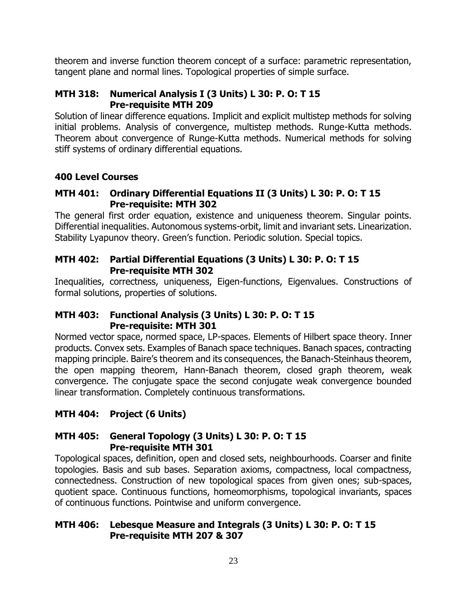theorem and inverse function theorem concept of a surface: parametric representation, tangent plane and normal lines. Topological properties of simple surface.

### **MTH 318: Numerical Analysis I (3 Units) L 30: P. O: T 15 Pre-requisite MTH 209**

Solution of linear difference equations. Implicit and explicit multistep methods for solving initial problems. Analysis of convergence, multistep methods. Runge-Kutta methods. Theorem about convergence of Runge-Kutta methods. Numerical methods for solving stiff systems of ordinary differential equations.

# **400 Level Courses**

### **MTH 401: Ordinary Differential Equations II (3 Units) L 30: P. O: T 15 Pre-requisite: MTH 302**

The general first order equation, existence and uniqueness theorem. Singular points. Differential inequalities. Autonomous systems-orbit, limit and invariant sets. Linearization. Stability Lyapunov theory. Green's function. Periodic solution. Special topics.

# **MTH 402: Partial Differential Equations (3 Units) L 30: P. O: T 15 Pre-requisite MTH 302**

Inequalities, correctness, uniqueness, Eigen-functions, Eigenvalues. Constructions of formal solutions, properties of solutions.

### **MTH 403: Functional Analysis (3 Units) L 30: P. O: T 15 Pre-requisite: MTH 301**

Normed vector space, normed space, LP-spaces. Elements of Hilbert space theory. Inner products. Convex sets. Examples of Banach space techniques. Banach spaces, contracting mapping principle. Baire's theorem and its consequences, the Banach-Steinhaus theorem, the open mapping theorem, Hann-Banach theorem, closed graph theorem, weak convergence. The conjugate space the second conjugate weak convergence bounded linear transformation. Completely continuous transformations.

# **MTH 404: Project (6 Units)**

# **MTH 405: General Topology (3 Units) L 30: P. O: T 15 Pre-requisite MTH 301**

Topological spaces, definition, open and closed sets, neighbourhoods. Coarser and finite topologies. Basis and sub bases. Separation axioms, compactness, local compactness, connectedness. Construction of new topological spaces from given ones; sub-spaces, quotient space. Continuous functions, homeomorphisms, topological invariants, spaces of continuous functions. Pointwise and uniform convergence.

# **MTH 406: Lebesque Measure and Integrals (3 Units) L 30: P. O: T 15 Pre-requisite MTH 207 & 307**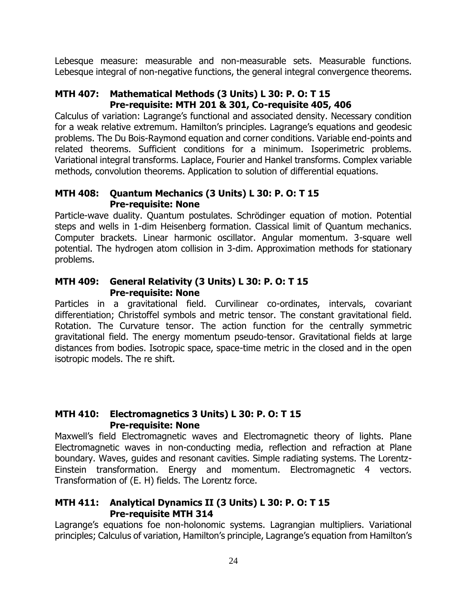Lebesque measure: measurable and non-measurable sets. Measurable functions. Lebesque integral of non-negative functions, the general integral convergence theorems.

# **MTH 407: Mathematical Methods (3 Units) L 30: P. O: T 15 Pre-requisite: MTH 201 & 301, Co-requisite 405, 406**

Calculus of variation: Lagrange's functional and associated density. Necessary condition for a weak relative extremum. Hamilton's principles. Lagrange's equations and geodesic problems. The Du Bois-Raymond equation and corner conditions. Variable end-points and related theorems. Sufficient conditions for a minimum. Isoperimetric problems. Variational integral transforms. Laplace, Fourier and Hankel transforms. Complex variable methods, convolution theorems. Application to solution of differential equations.

### **MTH 408: Quantum Mechanics (3 Units) L 30: P. O: T 15 Pre-requisite: None**

Particle-wave duality. Quantum postulates. Schrödinger equation of motion. Potential steps and wells in 1-dim Heisenberg formation. Classical limit of Quantum mechanics. Computer brackets. Linear harmonic oscillator. Angular momentum. 3-square well potential. The hydrogen atom collision in 3-dim. Approximation methods for stationary problems.

# **MTH 409: General Relativity (3 Units) L 30: P. O: T 15 Pre-requisite: None**

Particles in a gravitational field. Curvilinear co-ordinates, intervals, covariant differentiation; Christoffel symbols and metric tensor. The constant gravitational field. Rotation. The Curvature tensor. The action function for the centrally symmetric gravitational field. The energy momentum pseudo-tensor. Gravitational fields at large distances from bodies. Isotropic space, space-time metric in the closed and in the open isotropic models. The re shift.

# **MTH 410: Electromagnetics 3 Units) L 30: P. O: T 15 Pre-requisite: None**

Maxwell's field Electromagnetic waves and Electromagnetic theory of lights. Plane Electromagnetic waves in non-conducting media, reflection and refraction at Plane boundary. Waves, guides and resonant cavities. Simple radiating systems. The Lorentz-Einstein transformation. Energy and momentum. Electromagnetic 4 vectors. Transformation of (E. H) fields. The Lorentz force.

# **MTH 411: Analytical Dynamics II (3 Units) L 30: P. O: T 15 Pre-requisite MTH 314**

Lagrange's equations foe non-holonomic systems. Lagrangian multipliers. Variational principles; Calculus of variation, Hamilton's principle, Lagrange's equation from Hamilton's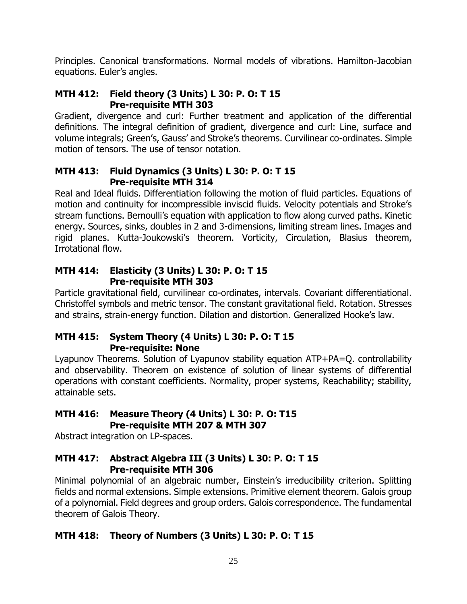Principles. Canonical transformations. Normal models of vibrations. Hamilton-Jacobian equations. Euler's angles.

# **MTH 412: Field theory (3 Units) L 30: P. O: T 15 Pre-requisite MTH 303**

Gradient, divergence and curl: Further treatment and application of the differential definitions. The integral definition of gradient, divergence and curl: Line, surface and volume integrals; Green's, Gauss' and Stroke's theorems. Curvilinear co-ordinates. Simple motion of tensors. The use of tensor notation.

# **MTH 413: Fluid Dynamics (3 Units) L 30: P. O: T 15 Pre-requisite MTH 314**

Real and Ideal fluids. Differentiation following the motion of fluid particles. Equations of motion and continuity for incompressible inviscid fluids. Velocity potentials and Stroke's stream functions. Bernoulli's equation with application to flow along curved paths. Kinetic energy. Sources, sinks, doubles in 2 and 3-dimensions, limiting stream lines. Images and rigid planes. Kutta-Joukowski's theorem. Vorticity, Circulation, Blasius theorem, Irrotational flow.

# **MTH 414: Elasticity (3 Units) L 30: P. O: T 15 Pre-requisite MTH 303**

Particle gravitational field, curvilinear co-ordinates, intervals. Covariant differentiational. Christoffel symbols and metric tensor. The constant gravitational field. Rotation. Stresses and strains, strain-energy function. Dilation and distortion. Generalized Hooke's law.

# **MTH 415: System Theory (4 Units) L 30: P. O: T 15 Pre-requisite: None**

Lyapunov Theorems. Solution of Lyapunov stability equation ATP+PA=Q. controllability and observability. Theorem on existence of solution of linear systems of differential operations with constant coefficients. Normality, proper systems, Reachability; stability, attainable sets.

# **MTH 416: Measure Theory (4 Units) L 30: P. O: T15 Pre-requisite MTH 207 & MTH 307**

Abstract integration on LP-spaces.

# **MTH 417: Abstract Algebra III (3 Units) L 30: P. O: T 15 Pre-requisite MTH 306**

Minimal polynomial of an algebraic number, Einstein's irreducibility criterion. Splitting fields and normal extensions. Simple extensions. Primitive element theorem. Galois group of a polynomial. Field degrees and group orders. Galois correspondence. The fundamental theorem of Galois Theory.

# **MTH 418: Theory of Numbers (3 Units) L 30: P. O: T 15**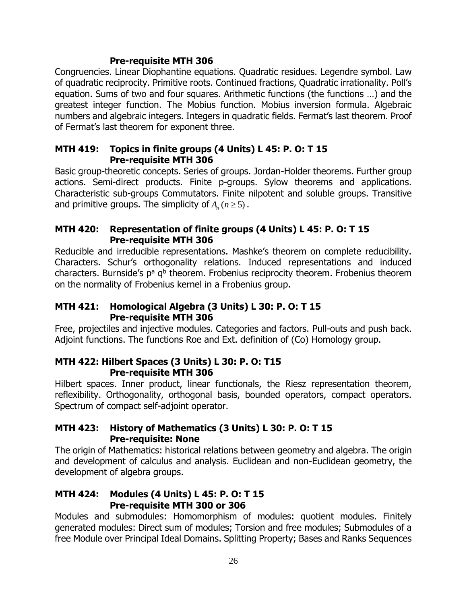### **Pre-requisite MTH 306**

Congruencies. Linear Diophantine equations. Quadratic residues. Legendre symbol. Law of quadratic reciprocity. Primitive roots. Continued fractions, Quadratic irrationality. Poll's equation. Sums of two and four squares. Arithmetic functions (the functions …) and the greatest integer function. The Mobius function. Mobius inversion formula. Algebraic numbers and algebraic integers. Integers in quadratic fields. Fermat's last theorem. Proof of Fermat's last theorem for exponent three.

#### **MTH 419: Topics in finite groups (4 Units) L 45: P. O: T 15 Pre-requisite MTH 306**

Basic group-theoretic concepts. Series of groups. Jordan-Holder theorems. Further group actions. Semi-direct products. Finite p-groups. Sylow theorems and applications. Characteristic sub-groups Commutators. Finite nilpotent and soluble groups. Transitive and primitive groups. The simplicity of  $A_n$  ( $n \geq 5$ ).

### **MTH 420: Representation of finite groups (4 Units) L 45: P. O: T 15 Pre-requisite MTH 306**

Reducible and irreducible representations. Mashke's theorem on complete reducibility. Characters. Schur's orthogonality relations. Induced representations and induced characters. Burnside's p<sup>a</sup> q<sup>b</sup> theorem. Frobenius reciprocity theorem. Frobenius theorem on the normality of Frobenius kernel in a Frobenius group.

### **MTH 421: Homological Algebra (3 Units) L 30: P. O: T 15 Pre-requisite MTH 306**

Free, projectiles and injective modules. Categories and factors. Pull-outs and push back. Adjoint functions. The functions Roe and Ext. definition of (Co) Homology group.

# **MTH 422: Hilbert Spaces (3 Units) L 30: P. O: T15 Pre-requisite MTH 306**

Hilbert spaces. Inner product, linear functionals, the Riesz representation theorem, reflexibility. Orthogonality, orthogonal basis, bounded operators, compact operators. Spectrum of compact self-adjoint operator.

# **MTH 423: History of Mathematics (3 Units) L 30: P. O: T 15 Pre-requisite: None**

The origin of Mathematics: historical relations between geometry and algebra. The origin and development of calculus and analysis. Euclidean and non-Euclidean geometry, the development of algebra groups.

# **MTH 424: Modules (4 Units) L 45: P. O: T 15 Pre-requisite MTH 300 or 306**

Modules and submodules: Homomorphism of modules: quotient modules. Finitely generated modules: Direct sum of modules; Torsion and free modules; Submodules of a free Module over Principal Ideal Domains. Splitting Property; Bases and Ranks Sequences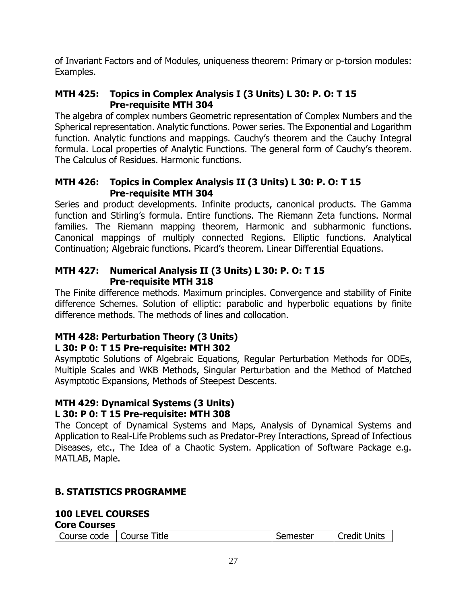of Invariant Factors and of Modules, uniqueness theorem: Primary or p-torsion modules: Examples.

# **MTH 425: Topics in Complex Analysis I (3 Units) L 30: P. O: T 15 Pre-requisite MTH 304**

The algebra of complex numbers Geometric representation of Complex Numbers and the Spherical representation. Analytic functions. Power series. The Exponential and Logarithm function. Analytic functions and mappings. Cauchy's theorem and the Cauchy Integral formula. Local properties of Analytic Functions. The general form of Cauchy's theorem. The Calculus of Residues. Harmonic functions.

# **MTH 426: Topics in Complex Analysis II (3 Units) L 30: P. O: T 15 Pre-requisite MTH 304**

Series and product developments. Infinite products, canonical products. The Gamma function and Stirling's formula. Entire functions. The Riemann Zeta functions. Normal families. The Riemann mapping theorem, Harmonic and subharmonic functions. Canonical mappings of multiply connected Regions. Elliptic functions. Analytical Continuation; Algebraic functions. Picard's theorem. Linear Differential Equations.

### **MTH 427: Numerical Analysis II (3 Units) L 30: P. O: T 15 Pre-requisite MTH 318**

The Finite difference methods. Maximum principles. Convergence and stability of Finite difference Schemes. Solution of elliptic: parabolic and hyperbolic equations by finite difference methods. The methods of lines and collocation.

#### **MTH 428: Perturbation Theory (3 Units) L 30: P 0: T 15 Pre-requisite: MTH 302**

Asymptotic Solutions of Algebraic Equations, Regular Perturbation Methods for ODEs, Multiple Scales and WKB Methods, Singular Perturbation and the Method of Matched Asymptotic Expansions, Methods of Steepest Descents.

#### **MTH 429: Dynamical Systems (3 Units) L 30: P 0: T 15 Pre-requisite: MTH 308**

The Concept of Dynamical Systems and Maps, Analysis of Dynamical Systems and Application to Real-Life Problems such as Predator-Prey Interactions, Spread of Infectious Diseases, etc., The Idea of a Chaotic System. Application of Software Package e.g. MATLAB, Maple.

# **B. STATISTICS PROGRAMME**

# **100 LEVEL COURSES**

| <b>Core Courses</b> |  |
|---------------------|--|
|---------------------|--|

| Course code | Course Title | Semester | <b>Credit Units</b> |
|-------------|--------------|----------|---------------------|
|-------------|--------------|----------|---------------------|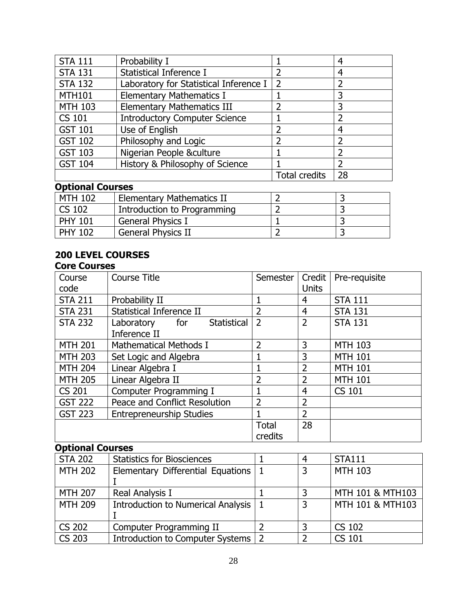| <b>STA 111</b> | Probability I                          |                      |    |
|----------------|----------------------------------------|----------------------|----|
| <b>STA 131</b> | Statistical Inference I                |                      | 4  |
| <b>STA 132</b> | Laboratory for Statistical Inference I | 2                    |    |
| <b>MTH101</b>  | <b>Elementary Mathematics I</b>        |                      |    |
| <b>MTH 103</b> | <b>Elementary Mathematics III</b>      |                      |    |
| <b>CS 101</b>  | <b>Introductory Computer Science</b>   |                      |    |
| <b>GST 101</b> | Use of English                         |                      |    |
| <b>GST 102</b> | Philosophy and Logic                   |                      |    |
| <b>GST 103</b> | Nigerian People &culture               |                      |    |
| <b>GST 104</b> | History & Philosophy of Science        |                      |    |
|                |                                        | <b>Total credits</b> | 28 |

# **Optional Courses**

| <b>MTH 102</b> | <b>Elementary Mathematics II</b> |  |
|----------------|----------------------------------|--|
| CS 102         | Introduction to Programming      |  |
| <b>PHY 101</b> | <b>General Physics I</b>         |  |
| <b>PHY 102</b> | <b>General Physics II</b>        |  |

#### **200 LEVEL COURSES Core Courses**

| Course<br>code | Course Title                     | Semester                | Credit<br><b>Units</b> | Pre-requisite  |
|----------------|----------------------------------|-------------------------|------------------------|----------------|
| <b>STA 211</b> | Probability II                   |                         | 4                      | <b>STA 111</b> |
| <b>STA 231</b> | Statistical Inference II         | $\overline{2}$          | $\overline{4}$         | <b>STA 131</b> |
| <b>STA 232</b> | Statistical<br>for<br>Laboratory | $\overline{2}$          | $\overline{2}$         | <b>STA 131</b> |
|                | Inference II                     |                         |                        |                |
| <b>MTH 201</b> | <b>Mathematical Methods I</b>    | 2                       | 3                      | <b>MTH 103</b> |
| <b>MTH 203</b> | Set Logic and Algebra            |                         | 3                      | <b>MTH 101</b> |
| <b>MTH 204</b> | Linear Algebra I                 |                         | $\overline{2}$         | <b>MTH 101</b> |
| <b>MTH 205</b> | Linear Algebra II                | 2                       | $\overline{2}$         | <b>MTH 101</b> |
| <b>CS 201</b>  | Computer Programming I           |                         | 4                      | <b>CS 101</b>  |
| <b>GST 222</b> | Peace and Conflict Resolution    | $\overline{2}$          | $\overline{2}$         |                |
| <b>GST 223</b> | <b>Entrepreneurship Studies</b>  |                         | $\overline{2}$         |                |
|                |                                  | <b>Total</b><br>credits | 28                     |                |

# **Optional Courses**

| <b>STA 202</b> | <b>Statistics for Biosciences</b>         |     |                | <b>STA111</b>    |
|----------------|-------------------------------------------|-----|----------------|------------------|
| <b>MTH 202</b> | Elementary Differential Equations         |     | 3              | <b>MTH 103</b>   |
|                |                                           |     |                |                  |
| <b>MTH 207</b> | Real Analysis I                           |     |                | MTH 101 & MTH103 |
| <b>MTH 209</b> | <b>Introduction to Numerical Analysis</b> |     | $\overline{3}$ | MTH 101 & MTH103 |
| <b>CS 202</b>  | Computer Programming II                   |     |                | <b>CS 102</b>    |
| <b>CS 203</b>  | Introduction to Computer Systems          | l 2 |                | <b>CS 101</b>    |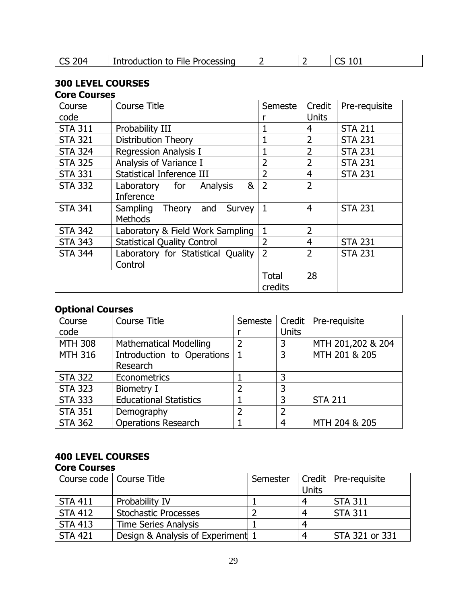| $\vert$ CS 204<br>I Introduction to File Processing |  |  | ~~<br>ᆠ୰<br>ັບ |  |
|-----------------------------------------------------|--|--|----------------|--|
|-----------------------------------------------------|--|--|----------------|--|

# **300 LEVEL COURSES**

#### **Core Courses**

| Course         | <b>Course Title</b>                | Semeste        | Credit         | Pre-requisite  |
|----------------|------------------------------------|----------------|----------------|----------------|
| code           |                                    |                | <b>Units</b>   |                |
| <b>STA 311</b> | Probability III                    |                | 4              | <b>STA 211</b> |
| <b>STA 321</b> | Distribution Theory                |                | $\overline{2}$ | <b>STA 231</b> |
| <b>STA 324</b> | <b>Regression Analysis I</b>       |                | $\overline{2}$ | <b>STA 231</b> |
| <b>STA 325</b> | Analysis of Variance I             | $\overline{2}$ | $\overline{2}$ | <b>STA 231</b> |
| <b>STA 331</b> | <b>Statistical Inference III</b>   | $\overline{2}$ | 4              | <b>STA 231</b> |
| <b>STA 332</b> | &<br>Laboratory for Analysis       | $\overline{2}$ | $\overline{2}$ |                |
|                | Inference                          |                |                |                |
| <b>STA 341</b> | Sampling Theory and<br>Survey      | 1              | 4              | <b>STA 231</b> |
|                | <b>Methods</b>                     |                |                |                |
| <b>STA 342</b> | Laboratory & Field Work Sampling   | 1              | $\overline{2}$ |                |
| <b>STA 343</b> | <b>Statistical Quality Control</b> | $\overline{2}$ | 4              | <b>STA 231</b> |
| <b>STA 344</b> | Laboratory for Statistical Quality | $\overline{2}$ | $\overline{2}$ | <b>STA 231</b> |
|                | Control                            |                |                |                |
|                |                                    | <b>Total</b>   | 28             |                |
|                |                                    | credits        |                |                |

# **Optional Courses**

| Course         | <b>Course Title</b>           | Semeste       |                | Credit   Pre-requisite |
|----------------|-------------------------------|---------------|----------------|------------------------|
| code           |                               |               | <b>Units</b>   |                        |
| <b>MTH 308</b> | <b>Mathematical Modelling</b> | $\mathcal{P}$ | 3              | MTH 201,202 & 204      |
| <b>MTH 316</b> | Introduction to Operations    |               | 3              | MTH 201 & 205          |
|                | Research                      |               |                |                        |
| <b>STA 322</b> | Econometrics                  |               | ว              |                        |
| <b>STA 323</b> | <b>Biometry I</b>             |               | 3              |                        |
| <b>STA 333</b> | <b>Educational Statistics</b> |               | 3              | <b>STA 211</b>         |
| <b>STA 351</b> | Demography                    |               | $\overline{2}$ |                        |
| <b>STA 362</b> | <b>Operations Research</b>    |               | Δ              | MTH 204 & 205          |

#### **400 LEVEL COURSES Core Courses**

| Course code   Course Title |                                   | Semester | <b>Units</b> | Credit   Pre-requisite |
|----------------------------|-----------------------------------|----------|--------------|------------------------|
| <b>STA 411</b>             | Probability IV                    |          | 4            | <b>STA 311</b>         |
| <b>STA 412</b>             | <b>Stochastic Processes</b>       |          | 4            | <b>STA 311</b>         |
| <b>STA 413</b>             | <b>Time Series Analysis</b>       |          | 4            |                        |
| <b>STA 421</b>             | Design & Analysis of Experiment 1 |          | 4            | STA 321 or 331         |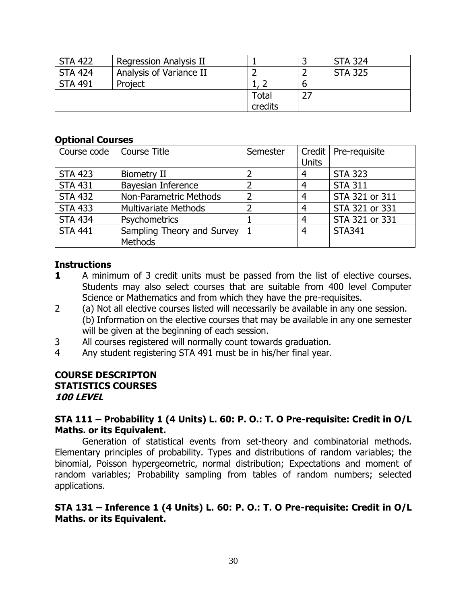| <b>STA 422</b> | Regression Analysis II  |         |    | <b>STA 324</b> |
|----------------|-------------------------|---------|----|----------------|
| <b>STA 424</b> | Analysis of Variance II |         |    | <b>STA 325</b> |
| <b>STA 491</b> | Project                 |         | b  |                |
|                |                         | Total   | 27 |                |
|                |                         | credits |    |                |

#### **Optional Courses**

| Course code    | <b>Course Title</b>           | Semester       |              | Credit   Pre-requisite |
|----------------|-------------------------------|----------------|--------------|------------------------|
|                |                               |                | <b>Units</b> |                        |
| <b>STA 423</b> | <b>Biometry II</b>            | $\overline{2}$ | 4            | <b>STA 323</b>         |
| <b>STA 431</b> | Bayesian Inference            | $\overline{2}$ | 4            | <b>STA 311</b>         |
| <b>STA 432</b> | <b>Non-Parametric Methods</b> | $\overline{2}$ | 4            | STA 321 or 311         |
| <b>STA 433</b> | <b>Multivariate Methods</b>   | 2              | 4            | STA 321 or 331         |
| <b>STA 434</b> | Psychometrics                 |                | 4            | STA 321 or 331         |
| <b>STA 441</b> | Sampling Theory and Survey    |                | 4            | <b>STA341</b>          |
|                | <b>Methods</b>                |                |              |                        |

#### **Instructions**

- **1** A minimum of 3 credit units must be passed from the list of elective courses. Students may also select courses that are suitable from 400 level Computer Science or Mathematics and from which they have the pre-requisites.
- 2 (a) Not all elective courses listed will necessarily be available in any one session. (b) Information on the elective courses that may be available in any one semester will be given at the beginning of each session.
- 3 All courses registered will normally count towards graduation.
- 4 Any student registering STA 491 must be in his/her final year.

#### **COURSE DESCRIPTON STATISTICS COURSES 100 LEVEL**

#### **STA 111 – Probability 1 (4 Units) L. 60: P. O.: T. O Pre-requisite: Credit in O/L Maths. or its Equivalent.**

Generation of statistical events from set-theory and combinatorial methods. Elementary principles of probability. Types and distributions of random variables; the binomial, Poisson hypergeometric, normal distribution; Expectations and moment of random variables; Probability sampling from tables of random numbers; selected applications.

### **STA 131 – Inference 1 (4 Units) L. 60: P. O.: T. O Pre-requisite: Credit in O/L Maths. or its Equivalent.**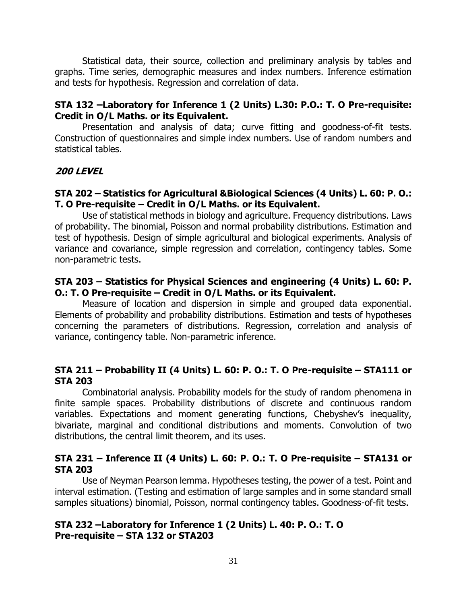Statistical data, their source, collection and preliminary analysis by tables and graphs. Time series, demographic measures and index numbers. Inference estimation and tests for hypothesis. Regression and correlation of data.

#### **STA 132 –Laboratory for Inference 1 (2 Units) L.30: P.O.: T. O Pre-requisite: Credit in O/L Maths. or its Equivalent.**

Presentation and analysis of data; curve fitting and goodness-of-fit tests. Construction of questionnaires and simple index numbers. Use of random numbers and statistical tables.

#### **200 LEVEL**

#### **STA 202 – Statistics for Agricultural &Biological Sciences (4 Units) L. 60: P. O.: T. O Pre-requisite – Credit in O/L Maths. or its Equivalent.**

Use of statistical methods in biology and agriculture. Frequency distributions. Laws of probability. The binomial, Poisson and normal probability distributions. Estimation and test of hypothesis. Design of simple agricultural and biological experiments. Analysis of variance and covariance, simple regression and correlation, contingency tables. Some non-parametric tests.

#### **STA 203 – Statistics for Physical Sciences and engineering (4 Units) L. 60: P. O.: T. O Pre-requisite – Credit in O/L Maths. or its Equivalent.**

Measure of location and dispersion in simple and grouped data exponential. Elements of probability and probability distributions. Estimation and tests of hypotheses concerning the parameters of distributions. Regression, correlation and analysis of variance, contingency table. Non-parametric inference.

#### **STA 211 – Probability II (4 Units) L. 60: P. O.: T. O Pre-requisite – STA111 or STA 203**

Combinatorial analysis. Probability models for the study of random phenomena in finite sample spaces. Probability distributions of discrete and continuous random variables. Expectations and moment generating functions, Chebyshev's inequality, bivariate, marginal and conditional distributions and moments. Convolution of two distributions, the central limit theorem, and its uses.

### **STA 231 – Inference II (4 Units) L. 60: P. O.: T. O Pre-requisite – STA131 or STA 203**

Use of Neyman Pearson lemma. Hypotheses testing, the power of a test. Point and interval estimation. (Testing and estimation of large samples and in some standard small samples situations) binomial, Poisson, normal contingency tables. Goodness-of-fit tests.

### **STA 232 –Laboratory for Inference 1 (2 Units) L. 40: P. O.: T. O Pre-requisite – STA 132 or STA203**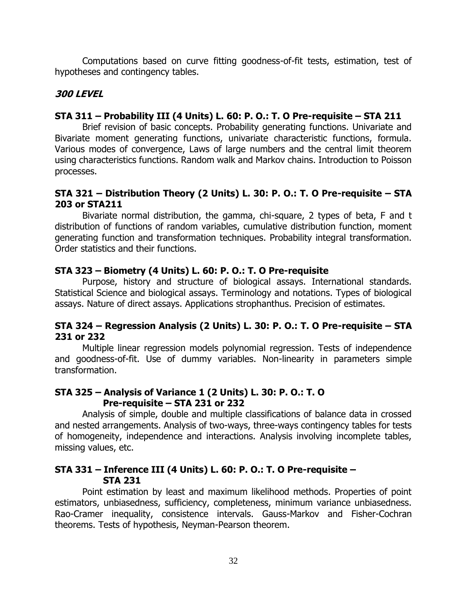Computations based on curve fitting goodness-of-fit tests, estimation, test of hypotheses and contingency tables.

# **300 LEVEL**

#### **STA 311 – Probability III (4 Units) L. 60: P. O.: T. O Pre-requisite – STA 211**

Brief revision of basic concepts. Probability generating functions. Univariate and Bivariate moment generating functions, univariate characteristic functions, formula. Various modes of convergence, Laws of large numbers and the central limit theorem using characteristics functions. Random walk and Markov chains. Introduction to Poisson processes.

#### **STA 321 – Distribution Theory (2 Units) L. 30: P. O.: T. O Pre-requisite – STA 203 or STA211**

Bivariate normal distribution, the gamma, chi-square, 2 types of beta, F and t distribution of functions of random variables, cumulative distribution function, moment generating function and transformation techniques. Probability integral transformation. Order statistics and their functions.

### **STA 323 – Biometry (4 Units) L. 60: P. O.: T. O Pre-requisite**

Purpose, history and structure of biological assays. International standards. Statistical Science and biological assays. Terminology and notations. Types of biological assays. Nature of direct assays. Applications strophanthus. Precision of estimates.

#### **STA 324 – Regression Analysis (2 Units) L. 30: P. O.: T. O Pre-requisite – STA 231 or 232**

Multiple linear regression models polynomial regression. Tests of independence and goodness-of-fit. Use of dummy variables. Non-linearity in parameters simple transformation.

# **STA 325 – Analysis of Variance 1 (2 Units) L. 30: P. O.: T. O Pre-requisite – STA 231 or 232**

Analysis of simple, double and multiple classifications of balance data in crossed and nested arrangements. Analysis of two-ways, three-ways contingency tables for tests of homogeneity, independence and interactions. Analysis involving incomplete tables, missing values, etc.

#### **STA 331 – Inference III (4 Units) L. 60: P. O.: T. O Pre-requisite – STA 231**

Point estimation by least and maximum likelihood methods. Properties of point estimators, unbiasedness, sufficiency, completeness, minimum variance unbiasedness. Rao-Cramer inequality, consistence intervals. Gauss-Markov and Fisher-Cochran theorems. Tests of hypothesis, Neyman-Pearson theorem.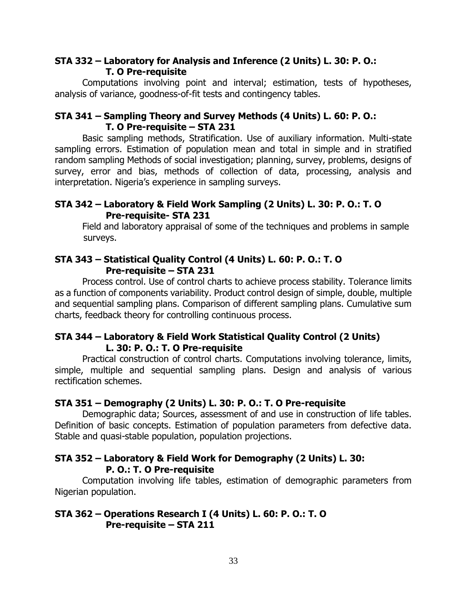#### **STA 332 – Laboratory for Analysis and Inference (2 Units) L. 30: P. O.: T. O Pre-requisite**

Computations involving point and interval; estimation, tests of hypotheses, analysis of variance, goodness-of-fit tests and contingency tables.

#### **STA 341 – Sampling Theory and Survey Methods (4 Units) L. 60: P. O.: T. O Pre-requisite – STA 231**

Basic sampling methods, Stratification. Use of auxiliary information. Multi-state sampling errors. Estimation of population mean and total in simple and in stratified random sampling Methods of social investigation; planning, survey, problems, designs of survey, error and bias, methods of collection of data, processing, analysis and interpretation. Nigeria's experience in sampling surveys.

#### **STA 342 – Laboratory & Field Work Sampling (2 Units) L. 30: P. O.: T. O Pre-requisite- STA 231**

Field and laboratory appraisal of some of the techniques and problems in sample surveys.

#### **STA 343 – Statistical Quality Control (4 Units) L. 60: P. O.: T. O Pre-requisite – STA 231**

Process control. Use of control charts to achieve process stability. Tolerance limits as a function of components variability. Product control design of simple, double, multiple and sequential sampling plans. Comparison of different sampling plans. Cumulative sum charts, feedback theory for controlling continuous process.

### **STA 344 – Laboratory & Field Work Statistical Quality Control (2 Units) L. 30: P. O.: T. O Pre-requisite**

Practical construction of control charts. Computations involving tolerance, limits, simple, multiple and sequential sampling plans. Design and analysis of various rectification schemes.

#### **STA 351 – Demography (2 Units) L. 30: P. O.: T. O Pre-requisite**

Demographic data; Sources, assessment of and use in construction of life tables. Definition of basic concepts. Estimation of population parameters from defective data. Stable and quasi-stable population, population projections.

### **STA 352 – Laboratory & Field Work for Demography (2 Units) L. 30: P. O.: T. O Pre-requisite**

Computation involving life tables, estimation of demographic parameters from Nigerian population.

#### **STA 362 – Operations Research I (4 Units) L. 60: P. O.: T. O Pre-requisite – STA 211**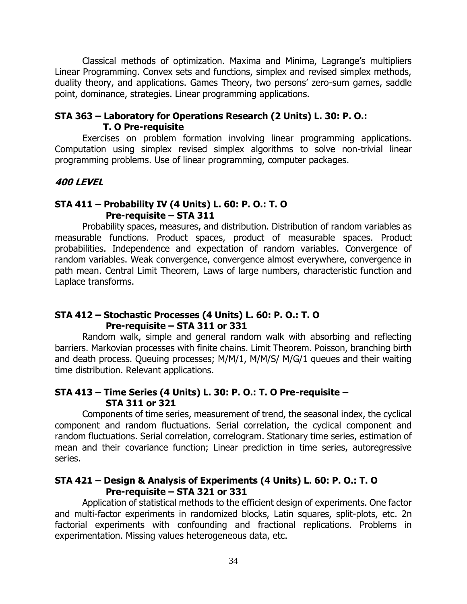Classical methods of optimization. Maxima and Minima, Lagrange's multipliers Linear Programming. Convex sets and functions, simplex and revised simplex methods, duality theory, and applications. Games Theory, two persons' zero-sum games, saddle point, dominance, strategies. Linear programming applications.

#### **STA 363 – Laboratory for Operations Research (2 Units) L. 30: P. O.: T. O Pre-requisite**

Exercises on problem formation involving linear programming applications. Computation using simplex revised simplex algorithms to solve non-trivial linear programming problems. Use of linear programming, computer packages.

#### **400 LEVEL**

#### **STA 411 – Probability IV (4 Units) L. 60: P. O.: T. O Pre-requisite – STA 311**

Probability spaces, measures, and distribution. Distribution of random variables as measurable functions. Product spaces, product of measurable spaces. Product probabilities. Independence and expectation of random variables. Convergence of random variables. Weak convergence, convergence almost everywhere, convergence in path mean. Central Limit Theorem, Laws of large numbers, characteristic function and Laplace transforms.

#### **STA 412 – Stochastic Processes (4 Units) L. 60: P. O.: T. O Pre-requisite – STA 311 or 331**

Random walk, simple and general random walk with absorbing and reflecting barriers. Markovian processes with finite chains. Limit Theorem. Poisson, branching birth and death process. Queuing processes; M/M/1, M/M/S/ M/G/1 queues and their waiting time distribution. Relevant applications.

# **STA 413 – Time Series (4 Units) L. 30: P. O.: T. O Pre-requisite – STA 311 or 321**

Components of time series, measurement of trend, the seasonal index, the cyclical component and random fluctuations. Serial correlation, the cyclical component and random fluctuations. Serial correlation, correlogram. Stationary time series, estimation of mean and their covariance function; Linear prediction in time series, autoregressive series.

#### **STA 421 – Design & Analysis of Experiments (4 Units) L. 60: P. O.: T. O Pre-requisite – STA 321 or 331**

Application of statistical methods to the efficient design of experiments. One factor and multi-factor experiments in randomized blocks, Latin squares, split-plots, etc. 2n factorial experiments with confounding and fractional replications. Problems in experimentation. Missing values heterogeneous data, etc.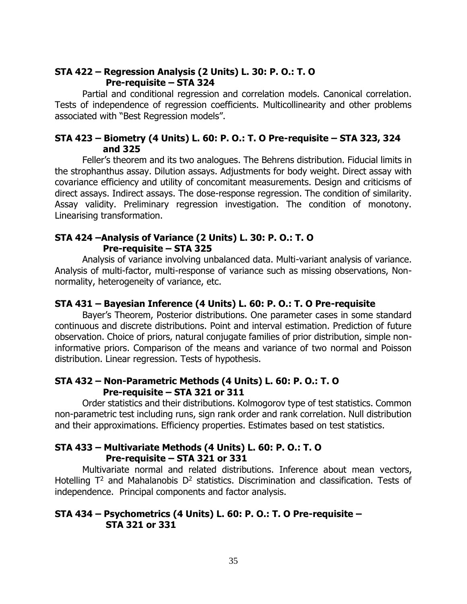#### **STA 422 – Regression Analysis (2 Units) L. 30: P. O.: T. O Pre-requisite – STA 324**

Partial and conditional regression and correlation models. Canonical correlation. Tests of independence of regression coefficients. Multicollinearity and other problems associated with "Best Regression models".

#### **STA 423 – Biometry (4 Units) L. 60: P. O.: T. O Pre-requisite – STA 323, 324 and 325**

Feller's theorem and its two analogues. The Behrens distribution. Fiducial limits in the strophanthus assay. Dilution assays. Adjustments for body weight. Direct assay with covariance efficiency and utility of concomitant measurements. Design and criticisms of direct assays. Indirect assays. The dose-response regression. The condition of similarity. Assay validity. Preliminary regression investigation. The condition of monotony. Linearising transformation.

#### **STA 424 –Analysis of Variance (2 Units) L. 30: P. O.: T. O Pre-requisite – STA 325**

Analysis of variance involving unbalanced data. Multi-variant analysis of variance. Analysis of multi-factor, multi-response of variance such as missing observations, Nonnormality, heterogeneity of variance, etc.

#### **STA 431 – Bayesian Inference (4 Units) L. 60: P. O.: T. O Pre-requisite**

Bayer's Theorem, Posterior distributions. One parameter cases in some standard continuous and discrete distributions. Point and interval estimation. Prediction of future observation. Choice of priors, natural conjugate families of prior distribution, simple noninformative priors. Comparison of the means and variance of two normal and Poisson distribution. Linear regression. Tests of hypothesis.

#### **STA 432 – Non-Parametric Methods (4 Units) L. 60: P. O.: T. O Pre-requisite – STA 321 or 311**

Order statistics and their distributions. Kolmogorov type of test statistics. Common non-parametric test including runs, sign rank order and rank correlation. Null distribution and their approximations. Efficiency properties. Estimates based on test statistics.

#### **STA 433 – Multivariate Methods (4 Units) L. 60: P. O.: T. O Pre-requisite – STA 321 or 331**

Multivariate normal and related distributions. Inference about mean vectors, Hotelling  $T^2$  and Mahalanobis  $D^2$  statistics. Discrimination and classification. Tests of independence. Principal components and factor analysis.

#### **STA 434 – Psychometrics (4 Units) L. 60: P. O.: T. O Pre-requisite – STA 321 or 331**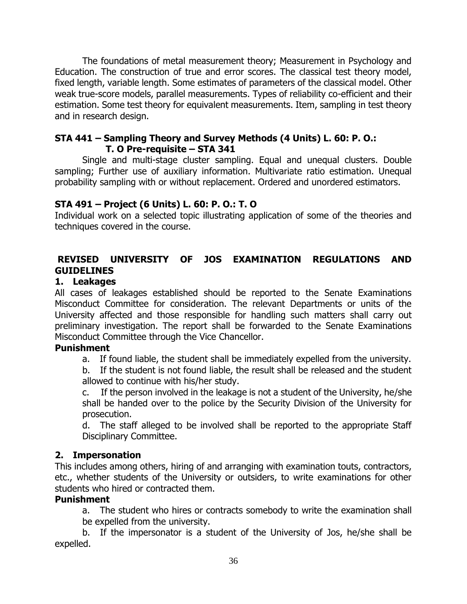The foundations of metal measurement theory; Measurement in Psychology and Education. The construction of true and error scores. The classical test theory model, fixed length, variable length. Some estimates of parameters of the classical model. Other weak true-score models, parallel measurements. Types of reliability co-efficient and their estimation. Some test theory for equivalent measurements. Item, sampling in test theory and in research design.

#### **STA 441 – Sampling Theory and Survey Methods (4 Units) L. 60: P. O.: T. O Pre-requisite – STA 341**

Single and multi-stage cluster sampling. Equal and unequal clusters. Double sampling; Further use of auxiliary information. Multivariate ratio estimation. Unequal probability sampling with or without replacement. Ordered and unordered estimators.

# **STA 491 – Project (6 Units) L. 60: P. O.: T. O**

Individual work on a selected topic illustrating application of some of the theories and techniques covered in the course.

# **REVISED UNIVERSITY OF JOS EXAMINATION REGULATIONS AND GUIDELINES**

# **1. Leakages**

All cases of leakages established should be reported to the Senate Examinations Misconduct Committee for consideration. The relevant Departments or units of the University affected and those responsible for handling such matters shall carry out preliminary investigation. The report shall be forwarded to the Senate Examinations Misconduct Committee through the Vice Chancellor.

#### **Punishment**

a. If found liable, the student shall be immediately expelled from the university.

b. If the student is not found liable, the result shall be released and the student allowed to continue with his/her study.

c. If the person involved in the leakage is not a student of the University, he/she shall be handed over to the police by the Security Division of the University for prosecution.

d. The staff alleged to be involved shall be reported to the appropriate Staff Disciplinary Committee.

# **2. Impersonation**

This includes among others, hiring of and arranging with examination touts, contractors, etc., whether students of the University or outsiders, to write examinations for other students who hired or contracted them.

# **Punishment**

a. The student who hires or contracts somebody to write the examination shall be expelled from the university.

b. If the impersonator is a student of the University of Jos, he/she shall be expelled.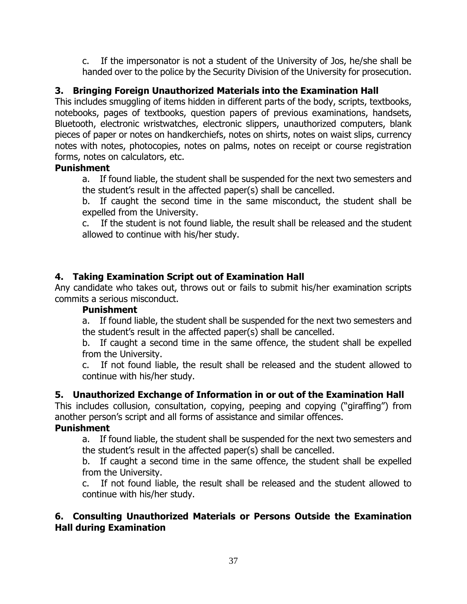c. If the impersonator is not a student of the University of Jos, he/she shall be handed over to the police by the Security Division of the University for prosecution.

# **3. Bringing Foreign Unauthorized Materials into the Examination Hall**

This includes smuggling of items hidden in different parts of the body, scripts, textbooks, notebooks, pages of textbooks, question papers of previous examinations, handsets, Bluetooth, electronic wristwatches, electronic slippers, unauthorized computers, blank pieces of paper or notes on handkerchiefs, notes on shirts, notes on waist slips, currency notes with notes, photocopies, notes on palms, notes on receipt or course registration forms, notes on calculators, etc.

### **Punishment**

a. If found liable, the student shall be suspended for the next two semesters and the student's result in the affected paper(s) shall be cancelled.

b. If caught the second time in the same misconduct, the student shall be expelled from the University.

c. If the student is not found liable, the result shall be released and the student allowed to continue with his/her study.

# **4. Taking Examination Script out of Examination Hall**

Any candidate who takes out, throws out or fails to submit his/her examination scripts commits a serious misconduct.

#### **Punishment**

a. If found liable, the student shall be suspended for the next two semesters and the student's result in the affected paper(s) shall be cancelled.

b. If caught a second time in the same offence, the student shall be expelled from the University.

c. If not found liable, the result shall be released and the student allowed to continue with his/her study.

# **5. Unauthorized Exchange of Information in or out of the Examination Hall**

This includes collusion, consultation, copying, peeping and copying ("giraffing") from another person's script and all forms of assistance and similar offences.

# **Punishment**

a. If found liable, the student shall be suspended for the next two semesters and the student's result in the affected paper(s) shall be cancelled.

b. If caught a second time in the same offence, the student shall be expelled from the University.

c. If not found liable, the result shall be released and the student allowed to continue with his/her study.

### **6. Consulting Unauthorized Materials or Persons Outside the Examination Hall during Examination**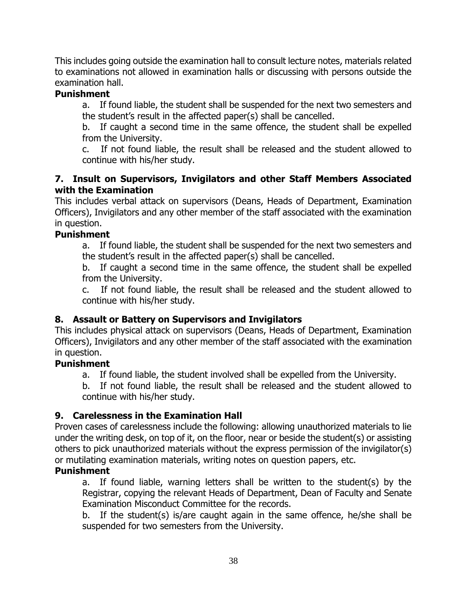This includes going outside the examination hall to consult lecture notes, materials related to examinations not allowed in examination halls or discussing with persons outside the examination hall.

# **Punishment**

a. If found liable, the student shall be suspended for the next two semesters and the student's result in the affected paper(s) shall be cancelled.

b. If caught a second time in the same offence, the student shall be expelled from the University.

c. If not found liable, the result shall be released and the student allowed to continue with his/her study.

#### **7. Insult on Supervisors, Invigilators and other Staff Members Associated with the Examination**

This includes verbal attack on supervisors (Deans, Heads of Department, Examination Officers), Invigilators and any other member of the staff associated with the examination in question.

#### **Punishment**

a. If found liable, the student shall be suspended for the next two semesters and the student's result in the affected paper(s) shall be cancelled.

b. If caught a second time in the same offence, the student shall be expelled from the University.

c. If not found liable, the result shall be released and the student allowed to continue with his/her study.

# **8. Assault or Battery on Supervisors and Invigilators**

This includes physical attack on supervisors (Deans, Heads of Department, Examination Officers), Invigilators and any other member of the staff associated with the examination in question.

#### **Punishment**

a. If found liable, the student involved shall be expelled from the University.

b. If not found liable, the result shall be released and the student allowed to continue with his/her study.

#### **9. Carelessness in the Examination Hall**

Proven cases of carelessness include the following: allowing unauthorized materials to lie under the writing desk, on top of it, on the floor, near or beside the student(s) or assisting others to pick unauthorized materials without the express permission of the invigilator(s) or mutilating examination materials, writing notes on question papers, etc.

#### **Punishment**

a. If found liable, warning letters shall be written to the student(s) by the Registrar, copying the relevant Heads of Department, Dean of Faculty and Senate Examination Misconduct Committee for the records.

b. If the student(s) is/are caught again in the same offence, he/she shall be suspended for two semesters from the University.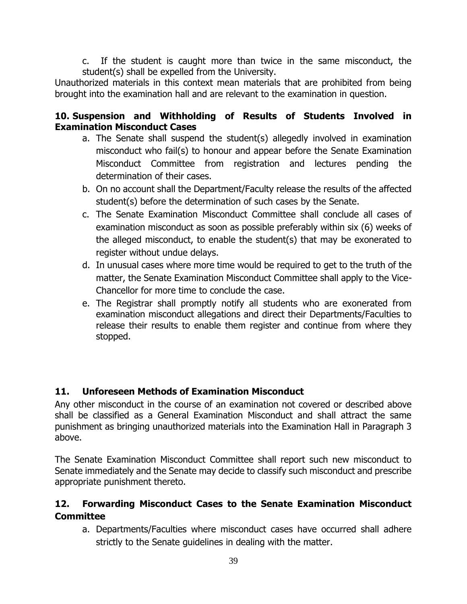c. If the student is caught more than twice in the same misconduct, the student(s) shall be expelled from the University.

Unauthorized materials in this context mean materials that are prohibited from being brought into the examination hall and are relevant to the examination in question.

# **10. Suspension and Withholding of Results of Students Involved in Examination Misconduct Cases**

- a. The Senate shall suspend the student(s) allegedly involved in examination misconduct who fail(s) to honour and appear before the Senate Examination Misconduct Committee from registration and lectures pending the determination of their cases.
- b. On no account shall the Department/Faculty release the results of the affected student(s) before the determination of such cases by the Senate.
- c. The Senate Examination Misconduct Committee shall conclude all cases of examination misconduct as soon as possible preferably within six (6) weeks of the alleged misconduct, to enable the student(s) that may be exonerated to register without undue delays.
- d. In unusual cases where more time would be required to get to the truth of the matter, the Senate Examination Misconduct Committee shall apply to the Vice-Chancellor for more time to conclude the case.
- e. The Registrar shall promptly notify all students who are exonerated from examination misconduct allegations and direct their Departments/Faculties to release their results to enable them register and continue from where they stopped.

# **11. Unforeseen Methods of Examination Misconduct**

Any other misconduct in the course of an examination not covered or described above shall be classified as a General Examination Misconduct and shall attract the same punishment as bringing unauthorized materials into the Examination Hall in Paragraph 3 above.

The Senate Examination Misconduct Committee shall report such new misconduct to Senate immediately and the Senate may decide to classify such misconduct and prescribe appropriate punishment thereto.

# **12. Forwarding Misconduct Cases to the Senate Examination Misconduct Committee**

a. Departments/Faculties where misconduct cases have occurred shall adhere strictly to the Senate guidelines in dealing with the matter.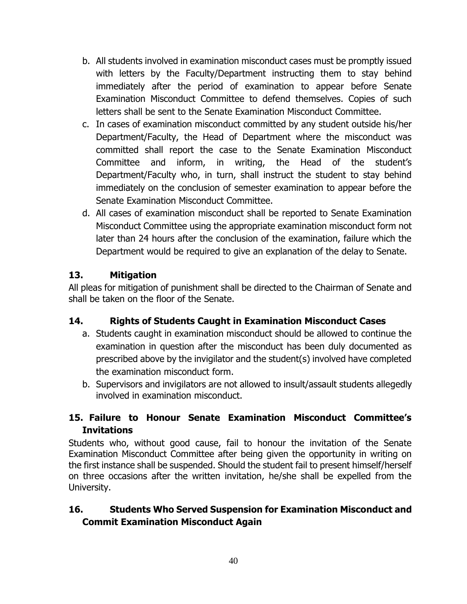- b. All students involved in examination misconduct cases must be promptly issued with letters by the Faculty/Department instructing them to stay behind immediately after the period of examination to appear before Senate Examination Misconduct Committee to defend themselves. Copies of such letters shall be sent to the Senate Examination Misconduct Committee.
- c. In cases of examination misconduct committed by any student outside his/her Department/Faculty, the Head of Department where the misconduct was committed shall report the case to the Senate Examination Misconduct Committee and inform, in writing, the Head of the student's Department/Faculty who, in turn, shall instruct the student to stay behind immediately on the conclusion of semester examination to appear before the Senate Examination Misconduct Committee.
- d. All cases of examination misconduct shall be reported to Senate Examination Misconduct Committee using the appropriate examination misconduct form not later than 24 hours after the conclusion of the examination, failure which the Department would be required to give an explanation of the delay to Senate.

# **13. Mitigation**

All pleas for mitigation of punishment shall be directed to the Chairman of Senate and shall be taken on the floor of the Senate.

# **14. Rights of Students Caught in Examination Misconduct Cases**

- a. Students caught in examination misconduct should be allowed to continue the examination in question after the misconduct has been duly documented as prescribed above by the invigilator and the student(s) involved have completed the examination misconduct form.
- b. Supervisors and invigilators are not allowed to insult/assault students allegedly involved in examination misconduct.

# **15. Failure to Honour Senate Examination Misconduct Committee's Invitations**

Students who, without good cause, fail to honour the invitation of the Senate Examination Misconduct Committee after being given the opportunity in writing on the first instance shall be suspended. Should the student fail to present himself/herself on three occasions after the written invitation, he/she shall be expelled from the University.

# **16. Students Who Served Suspension for Examination Misconduct and Commit Examination Misconduct Again**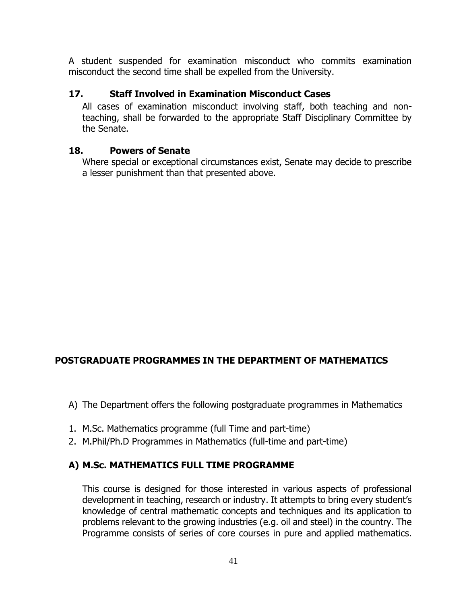A student suspended for examination misconduct who commits examination misconduct the second time shall be expelled from the University.

# **17. Staff Involved in Examination Misconduct Cases**

All cases of examination misconduct involving staff, both teaching and nonteaching, shall be forwarded to the appropriate Staff Disciplinary Committee by the Senate.

#### **18. Powers of Senate**

Where special or exceptional circumstances exist, Senate may decide to prescribe a lesser punishment than that presented above.

# **POSTGRADUATE PROGRAMMES IN THE DEPARTMENT OF MATHEMATICS**

- A) The Department offers the following postgraduate programmes in Mathematics
- 1. M.Sc. Mathematics programme (full Time and part-time)
- 2. M.Phil/Ph.D Programmes in Mathematics (full-time and part-time)

#### **A) M.Sc. MATHEMATICS FULL TIME PROGRAMME**

This course is designed for those interested in various aspects of professional development in teaching, research or industry. It attempts to bring every student's knowledge of central mathematic concepts and techniques and its application to problems relevant to the growing industries (e.g. oil and steel) in the country. The Programme consists of series of core courses in pure and applied mathematics.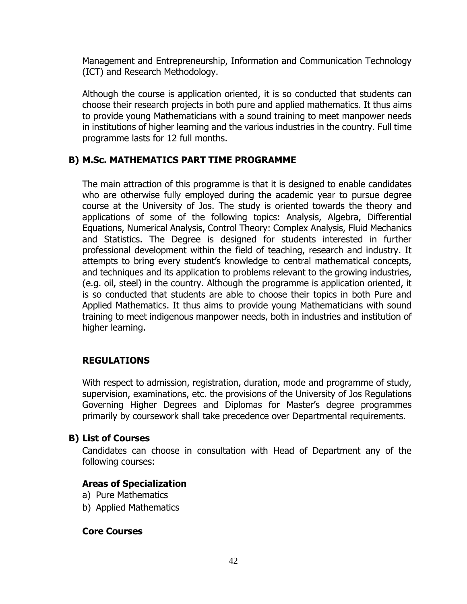Management and Entrepreneurship, Information and Communication Technology (ICT) and Research Methodology.

Although the course is application oriented, it is so conducted that students can choose their research projects in both pure and applied mathematics. It thus aims to provide young Mathematicians with a sound training to meet manpower needs in institutions of higher learning and the various industries in the country. Full time programme lasts for 12 full months.

### **B) M.Sc. MATHEMATICS PART TIME PROGRAMME**

The main attraction of this programme is that it is designed to enable candidates who are otherwise fully employed during the academic year to pursue degree course at the University of Jos. The study is oriented towards the theory and applications of some of the following topics: Analysis, Algebra, Differential Equations, Numerical Analysis, Control Theory: Complex Analysis, Fluid Mechanics and Statistics. The Degree is designed for students interested in further professional development within the field of teaching, research and industry. It attempts to bring every student's knowledge to central mathematical concepts, and techniques and its application to problems relevant to the growing industries, (e.g. oil, steel) in the country. Although the programme is application oriented, it is so conducted that students are able to choose their topics in both Pure and Applied Mathematics. It thus aims to provide young Mathematicians with sound training to meet indigenous manpower needs, both in industries and institution of higher learning.

#### **REGULATIONS**

With respect to admission, registration, duration, mode and programme of study, supervision, examinations, etc. the provisions of the University of Jos Regulations Governing Higher Degrees and Diplomas for Master's degree programmes primarily by coursework shall take precedence over Departmental requirements.

#### **B) List of Courses**

Candidates can choose in consultation with Head of Department any of the following courses:

#### **Areas of Specialization**

- a) Pure Mathematics
- b) Applied Mathematics

#### **Core Courses**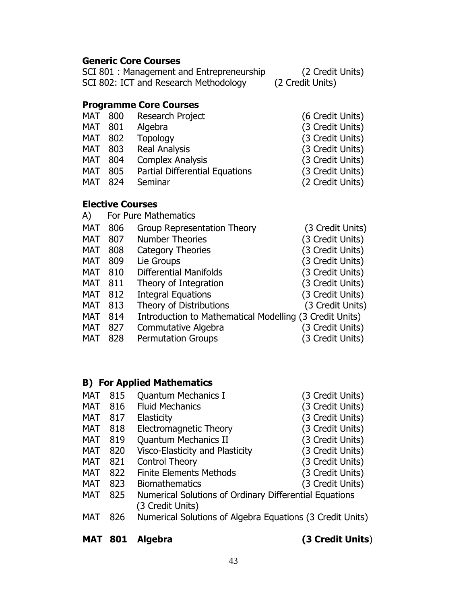# **Generic Core Courses**

| SCI 801 : Management and Entrepreneurship | (2 Credit Units) |
|-------------------------------------------|------------------|
| SCI 802: ICT and Research Methodology     | (2 Credit Units) |

# **Programme Core Courses**

| <b>MAT 800</b> |     | Research Project               | (6 Credit Units) |
|----------------|-----|--------------------------------|------------------|
| MAT            | 801 | Algebra                        | (3 Credit Units) |
| MAT            | 802 | <b>Topology</b>                | (3 Credit Units) |
| MAT            | 803 | Real Analysis                  | (3 Credit Units) |
| MAT            | 804 | <b>Complex Analysis</b>        | (3 Credit Units) |
| MAT            | 805 | Partial Differential Equations | (3 Credit Units) |
| MAT            | 824 | Seminar                        | (2 Credit Units) |
|                |     |                                |                  |

# **Elective Courses**

| A)         |     | For Pure Mathematics                                    |                  |
|------------|-----|---------------------------------------------------------|------------------|
| <b>MAT</b> | 806 | <b>Group Representation Theory</b>                      | (3 Credit Units) |
| <b>MAT</b> | 807 | <b>Number Theories</b>                                  | (3 Credit Units) |
| <b>MAT</b> | 808 | <b>Category Theories</b>                                | (3 Credit Units) |
| MAT        | 809 | Lie Groups                                              | (3 Credit Units) |
| <b>MAT</b> | 810 | <b>Differential Manifolds</b>                           | (3 Credit Units) |
| <b>MAT</b> | 811 | Theory of Integration                                   | (3 Credit Units) |
| <b>MAT</b> | 812 | <b>Integral Equations</b>                               | (3 Credit Units) |
| <b>MAT</b> | 813 | Theory of Distributions                                 | (3 Credit Units) |
| <b>MAT</b> | 814 | Introduction to Mathematical Modelling (3 Credit Units) |                  |
| <b>MAT</b> | 827 | Commutative Algebra                                     | (3 Credit Units) |
| <b>MAT</b> | 828 | <b>Permutation Groups</b>                               | (3 Credit Units) |
|            |     |                                                         |                  |

# **B) For Applied Mathematics**

| <b>MAT</b> | 801 | Algebra                                                                    | (3 Credit Units) |
|------------|-----|----------------------------------------------------------------------------|------------------|
| <b>MAT</b> | 826 | Numerical Solutions of Algebra Equations (3 Credit Units)                  |                  |
| <b>MAT</b> | 825 | Numerical Solutions of Ordinary Differential Equations<br>(3 Credit Units) |                  |
| <b>MAT</b> | 823 | <b>Biomathematics</b>                                                      | (3 Credit Units) |
| <b>MAT</b> | 822 | <b>Finite Elements Methods</b>                                             | (3 Credit Units) |
| <b>MAT</b> | 821 | Control Theory                                                             | (3 Credit Units) |
| <b>MAT</b> | 820 | Visco-Elasticity and Plasticity                                            | (3 Credit Units) |
| <b>MAT</b> | 819 | <b>Quantum Mechanics II</b>                                                | (3 Credit Units) |
| <b>MAT</b> | 818 | Electromagnetic Theory                                                     | (3 Credit Units) |
| <b>MAT</b> | 817 | Elasticity                                                                 | (3 Credit Units) |
| <b>MAT</b> | 816 | <b>Fluid Mechanics</b>                                                     | (3 Credit Units) |
| <b>MAT</b> | 815 | <b>Quantum Mechanics I</b>                                                 | (3 Credit Units) |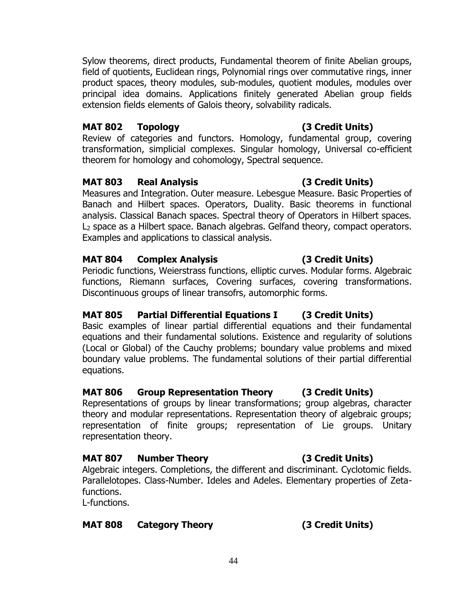Sylow theorems, direct products, Fundamental theorem of finite Abelian groups, field of quotients, Euclidean rings, Polynomial rings over commutative rings, inner product spaces, theory modules, sub-modules, quotient modules, modules over principal idea domains. Applications finitely generated Abelian group fields extension fields elements of Galois theory, solvability radicals.

# **MAT 802 Topology (3 Credit Units)**

Review of categories and functors. Homology, fundamental group, covering transformation, simplicial complexes. Singular homology, Universal co-efficient theorem for homology and cohomology, Spectral sequence.

# **MAT 803 Real Analysis (3 Credit Units)**

Measures and Integration. Outer measure. Lebesgue Measure. Basic Properties of Banach and Hilbert spaces. Operators, Duality. Basic theorems in functional analysis. Classical Banach spaces. Spectral theory of Operators in Hilbert spaces. L<sup>2</sup> space as a Hilbert space. Banach algebras. Gelfand theory, compact operators. Examples and applications to classical analysis.

# **MAT 804 Complex Analysis (3 Credit Units)**

Periodic functions, Weierstrass functions, elliptic curves. Modular forms. Algebraic functions, Riemann surfaces, Covering surfaces, covering transformations. Discontinuous groups of linear transofrs, automorphic forms.

# **MAT 805 Partial Differential Equations I (3 Credit Units)**

Basic examples of linear partial differential equations and their fundamental equations and their fundamental solutions. Existence and regularity of solutions (Local or Global) of the Cauchy problems; boundary value problems and mixed boundary value problems. The fundamental solutions of their partial differential equations.

# **MAT 806 Group Representation Theory (3 Credit Units)**

Representations of groups by linear transformations; group algebras, character theory and modular representations. Representation theory of algebraic groups; representation of finite groups; representation of Lie groups. Unitary representation theory.

# **MAT 807 Number Theory (3 Credit Units)**

Algebraic integers. Completions, the different and discriminant. Cyclotomic fields. Parallelotopes. Class-Number. Ideles and Adeles. Elementary properties of Zetafunctions.

L-functions.

# **MAT 808 Category Theory (3 Credit Units)**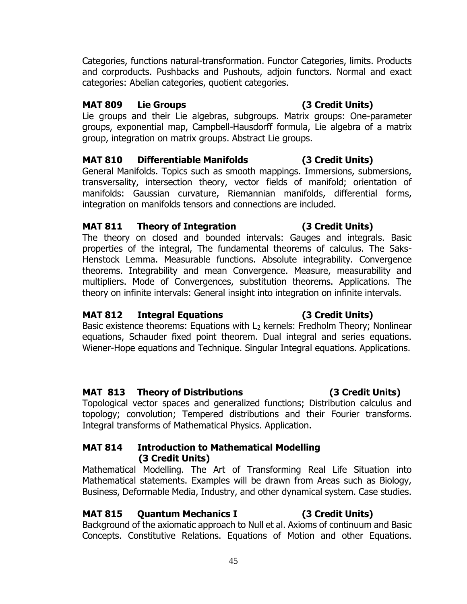Categories, functions natural-transformation. Functor Categories, limits. Products and corproducts. Pushbacks and Pushouts, adjoin functors. Normal and exact categories: Abelian categories, quotient categories.

# **MAT 809 Lie Groups (3 Credit Units)**

Lie groups and their Lie algebras, subgroups. Matrix groups: One-parameter groups, exponential map, Campbell-Hausdorff formula, Lie algebra of a matrix group, integration on matrix groups. Abstract Lie groups.

# **MAT 810 Differentiable Manifolds (3 Credit Units)**

General Manifolds. Topics such as smooth mappings. Immersions, submersions, transversality, intersection theory, vector fields of manifold; orientation of manifolds: Gaussian curvature, Riemannian manifolds, differential forms, integration on manifolds tensors and connections are included.

### **MAT 811 Theory of Integration (3 Credit Units)**

The theory on closed and bounded intervals: Gauges and integrals. Basic properties of the integral, The fundamental theorems of calculus. The Saks-Henstock Lemma. Measurable functions. Absolute integrability. Convergence theorems. Integrability and mean Convergence. Measure, measurability and multipliers. Mode of Convergences, substitution theorems. Applications. The theory on infinite intervals: General insight into integration on infinite intervals.

# **MAT 812 Integral Equations (3 Credit Units)**

Basic existence theorems: Equations with  $L_2$  kernels: Fredholm Theory; Nonlinear equations, Schauder fixed point theorem. Dual integral and series equations. Wiener-Hope equations and Technique. Singular Integral equations. Applications.

# **MAT 813 Theory of Distributions (3 Credit Units)**

Topological vector spaces and generalized functions; Distribution calculus and topology; convolution; Tempered distributions and their Fourier transforms. Integral transforms of Mathematical Physics. Application.

### **MAT 814 Introduction to Mathematical Modelling (3 Credit Units)**

Mathematical Modelling. The Art of Transforming Real Life Situation into Mathematical statements. Examples will be drawn from Areas such as Biology, Business, Deformable Media, Industry, and other dynamical system. Case studies.

# **MAT 815 Quantum Mechanics I (3 Credit Units)**

Background of the axiomatic approach to Null et al. Axioms of continuum and Basic Concepts. Constitutive Relations. Equations of Motion and other Equations.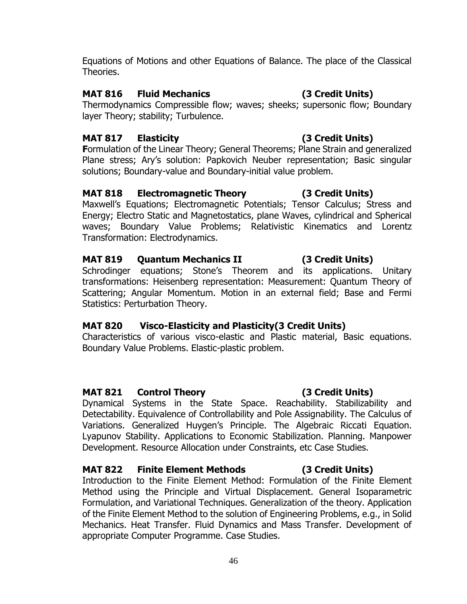Equations of Motions and other Equations of Balance. The place of the Classical Theories.

### **MAT 816 Fluid Mechanics (3 Credit Units)**

Thermodynamics Compressible flow; waves; sheeks; supersonic flow; Boundary layer Theory; stability; Turbulence.

# **MAT 817 Elasticity (3 Credit Units)**

**F**ormulation of the Linear Theory; General Theorems; Plane Strain and generalized Plane stress; Ary's solution: Papkovich Neuber representation; Basic singular solutions; Boundary-value and Boundary-initial value problem.

### **MAT 818 Electromagnetic Theory (3 Credit Units)**

Maxwell's Equations; Electromagnetic Potentials; Tensor Calculus; Stress and Energy; Electro Static and Magnetostatics, plane Waves, cylindrical and Spherical waves; Boundary Value Problems; Relativistic Kinematics and Lorentz Transformation: Electrodynamics.

# **MAT 819 Quantum Mechanics II (3 Credit Units)**

Schrodinger equations; Stone's Theorem and its applications. Unitary transformations: Heisenberg representation: Measurement: Quantum Theory of Scattering; Angular Momentum. Motion in an external field; Base and Fermi Statistics: Perturbation Theory.

# **MAT 820 Visco-Elasticity and Plasticity(3 Credit Units)**

Characteristics of various visco-elastic and Plastic material, Basic equations. Boundary Value Problems. Elastic-plastic problem.

# **MAT 821 Control Theory (3 Credit Units)**

Dynamical Systems in the State Space. Reachability. Stabilizability and Detectability. Equivalence of Controllability and Pole Assignability. The Calculus of Variations. Generalized Huygen's Principle. The Algebraic Riccati Equation. Lyapunov Stability. Applications to Economic Stabilization. Planning. Manpower Development. Resource Allocation under Constraints, etc Case Studies.

#### **MAT 822 Finite Element Methods (3 Credit Units)**

Introduction to the Finite Element Method: Formulation of the Finite Element Method using the Principle and Virtual Displacement. General Isoparametric Formulation, and Variational Techniques. Generalization of the theory. Application of the Finite Element Method to the solution of Engineering Problems, e.g., in Solid Mechanics. Heat Transfer. Fluid Dynamics and Mass Transfer. Development of appropriate Computer Programme. Case Studies.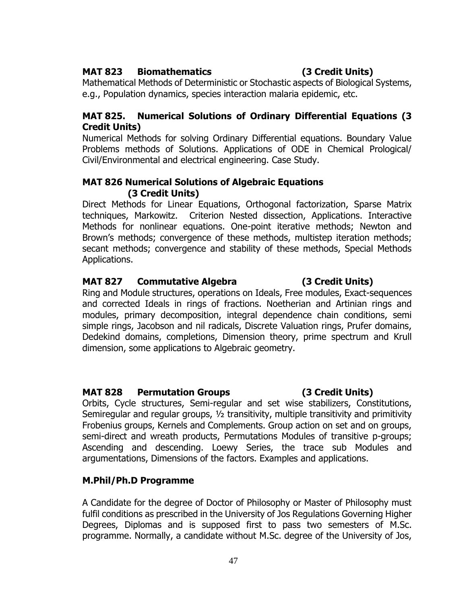#### **MAT 823 Biomathematics (3 Credit Units)**

Mathematical Methods of Deterministic or Stochastic aspects of Biological Systems, e.g., Population dynamics, species interaction malaria epidemic, etc.

#### **MAT 825. Numerical Solutions of Ordinary Differential Equations (3 Credit Units)**

Numerical Methods for solving Ordinary Differential equations. Boundary Value Problems methods of Solutions. Applications of ODE in Chemical Prological/ Civil/Environmental and electrical engineering. Case Study.

#### **MAT 826 Numerical Solutions of Algebraic Equations (3 Credit Units)**

Direct Methods for Linear Equations, Orthogonal factorization, Sparse Matrix techniques, Markowitz. Criterion Nested dissection, Applications. Interactive Methods for nonlinear equations. One-point iterative methods; Newton and Brown's methods; convergence of these methods, multistep iteration methods; secant methods; convergence and stability of these methods, Special Methods Applications.

#### **MAT 827 Commutative Algebra (3 Credit Units)**

Ring and Module structures, operations on Ideals, Free modules, Exact-sequences and corrected Ideals in rings of fractions. Noetherian and Artinian rings and modules, primary decomposition, integral dependence chain conditions, semi simple rings, Jacobson and nil radicals, Discrete Valuation rings, Prufer domains, Dedekind domains, completions, Dimension theory, prime spectrum and Krull dimension, some applications to Algebraic geometry.

#### **MAT 828 Permutation Groups (3 Credit Units)**

Orbits, Cycle structures, Semi-regular and set wise stabilizers, Constitutions, Semiregular and regular groups, ½ transitivity, multiple transitivity and primitivity Frobenius groups, Kernels and Complements. Group action on set and on groups, semi-direct and wreath products, Permutations Modules of transitive p-groups; Ascending and descending. Loewy Series, the trace sub Modules and argumentations, Dimensions of the factors. Examples and applications.

#### **M.Phil/Ph.D Programme**

A Candidate for the degree of Doctor of Philosophy or Master of Philosophy must fulfil conditions as prescribed in the University of Jos Regulations Governing Higher Degrees, Diplomas and is supposed first to pass two semesters of M.Sc. programme. Normally, a candidate without M.Sc. degree of the University of Jos,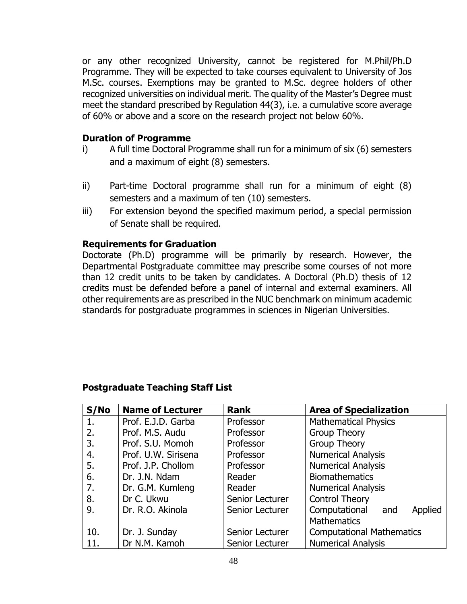or any other recognized University, cannot be registered for M.Phil/Ph.D Programme. They will be expected to take courses equivalent to University of Jos M.Sc. courses. Exemptions may be granted to M.Sc. degree holders of other recognized universities on individual merit. The quality of the Master's Degree must meet the standard prescribed by Regulation 44(3), i.e. a cumulative score average of 60% or above and a score on the research project not below 60%.

#### **Duration of Programme**

- i) A full time Doctoral Programme shall run for a minimum of six (6) semesters and a maximum of eight (8) semesters.
- ii) Part-time Doctoral programme shall run for a minimum of eight (8) semesters and a maximum of ten (10) semesters.
- iii) For extension beyond the specified maximum period, a special permission of Senate shall be required.

### **Requirements for Graduation**

Doctorate (Ph.D) programme will be primarily by research. However, the Departmental Postgraduate committee may prescribe some courses of not more than 12 credit units to be taken by candidates. A Doctoral (Ph.D) thesis of 12 credits must be defended before a panel of internal and external examiners. All other requirements are as prescribed in the NUC benchmark on minimum academic standards for postgraduate programmes in sciences in Nigerian Universities.

# **Postgraduate Teaching Staff List**

| S/No | <b>Name of Lecturer</b> | <b>Rank</b>     | <b>Area of Specialization</b>    |
|------|-------------------------|-----------------|----------------------------------|
| 1.   | Prof. E.J.D. Garba      | Professor       | <b>Mathematical Physics</b>      |
| 2.   | Prof. M.S. Audu         | Professor       | Group Theory                     |
| 3.   | Prof. S.U. Momoh        | Professor       | <b>Group Theory</b>              |
| 4.   | Prof. U.W. Sirisena     | Professor       | <b>Numerical Analysis</b>        |
| 5.   | Prof. J.P. Chollom      | Professor       | <b>Numerical Analysis</b>        |
| 6.   | Dr. J.N. Ndam           | Reader          | <b>Biomathematics</b>            |
| 7.   | Dr. G.M. Kumleng        | Reader          | <b>Numerical Analysis</b>        |
| 8.   | Dr C. Ukwu              | Senior Lecturer | <b>Control Theory</b>            |
| 9.   | Dr. R.O. Akinola        | Senior Lecturer | Computational<br>Applied<br>and  |
|      |                         |                 | <b>Mathematics</b>               |
| 10.  | Dr. J. Sunday           | Senior Lecturer | <b>Computational Mathematics</b> |
| 11.  | Dr N.M. Kamoh           | Senior Lecturer | <b>Numerical Analysis</b>        |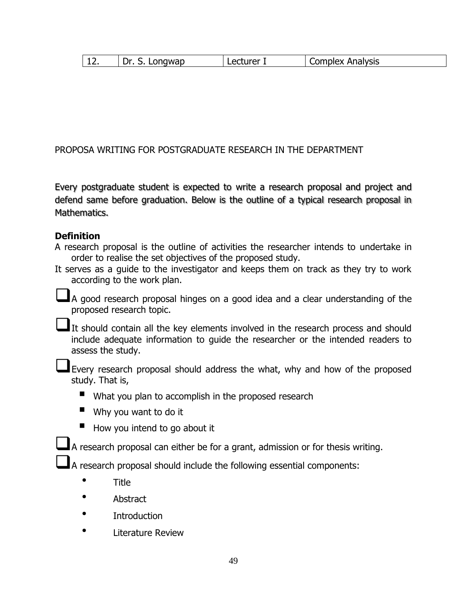|  | Dr.<br>Longwap | Lecturer | <b>Complex Analysis</b> |  |
|--|----------------|----------|-------------------------|--|
|--|----------------|----------|-------------------------|--|

#### PROPOSA WRITING FOR POSTGRADUATE RESEARCH IN THE DEPARTMENT

Every postgraduate student is expected to write a research proposal and project and defend same before graduation. Below is the outline of a typical research proposal in Mathematics.

#### **Definition**

A research proposal is the outline of activities the researcher intends to undertake in order to realise the set objectives of the proposed study.

It serves as a guide to the investigator and keeps them on track as they try to work according to the work plan.

■A good research proposal hinges on a good idea and a clear understanding of the proposed research topic.

It should contain all the key elements involved in the research process and should include adequate information to guide the researcher or the intended readers to assess the study.

Every research proposal should address the what, why and how of the proposed study. That is,

- What you plan to accomplish in the proposed research
- $\blacksquare$  Why you want to do it
- $\blacksquare$  How you intend to go about it

A research proposal can either be for a grant, admission or for thesis writing.

A research proposal should include the following essential components:

- Title
- Abstract
- **Introduction**
- Literature Review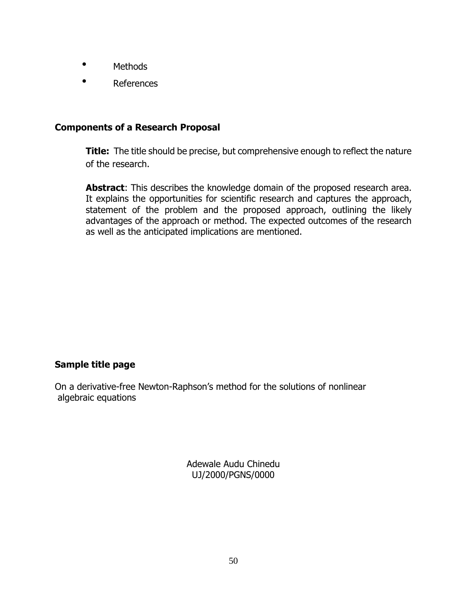- Methods
- References

#### **Components of a Research Proposal**

**Title:** The title should be precise, but comprehensive enough to reflect the nature of the research.

**Abstract:** This describes the knowledge domain of the proposed research area. It explains the opportunities for scientific research and captures the approach, statement of the problem and the proposed approach, outlining the likely advantages of the approach or method. The expected outcomes of the research as well as the anticipated implications are mentioned.

#### **Sample title page**

On a derivative-free Newton-Raphson's method for the solutions of nonlinear algebraic equations

> Adewale Audu Chinedu UJ/2000/PGNS/0000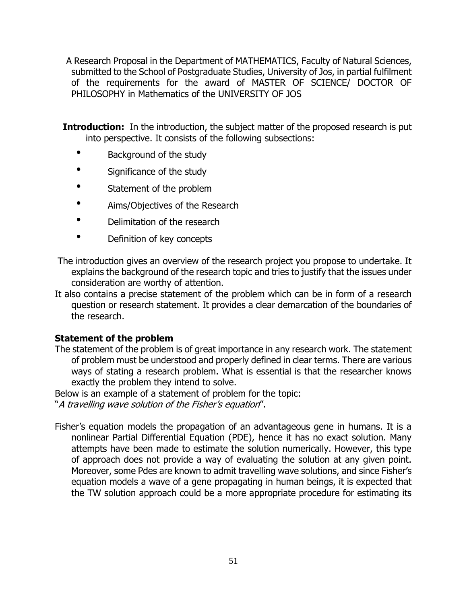A Research Proposal in the Department of MATHEMATICS, Faculty of Natural Sciences, submitted to the School of Postgraduate Studies, University of Jos, in partial fulfilment of the requirements for the award of MASTER OF SCIENCE/ DOCTOR OF PHILOSOPHY in Mathematics of the UNIVERSITY OF JOS

**Introduction:** In the introduction, the subject matter of the proposed research is put into perspective. It consists of the following subsections:

- Background of the study
- Significance of the study
- Statement of the problem
- Aims/Objectives of the Research
- Delimitation of the research
- Definition of key concepts
- The introduction gives an overview of the research project you propose to undertake. It explains the background of the research topic and tries to justify that the issues under consideration are worthy of attention.
- It also contains a precise statement of the problem which can be in form of a research question or research statement. It provides a clear demarcation of the boundaries of the research.

#### **Statement of the problem**

The statement of the problem is of great importance in any research work. The statement of problem must be understood and properly defined in clear terms. There are various ways of stating a research problem. What is essential is that the researcher knows exactly the problem they intend to solve.

Below is an example of a statement of problem for the topic:

"A travelling wave solution of the Fisher's equation".

Fisher's equation models the propagation of an advantageous gene in humans. It is a nonlinear Partial Differential Equation (PDE), hence it has no exact solution. Many attempts have been made to estimate the solution numerically. However, this type of approach does not provide a way of evaluating the solution at any given point. Moreover, some Pdes are known to admit travelling wave solutions, and since Fisher's equation models a wave of a gene propagating in human beings, it is expected that the TW solution approach could be a more appropriate procedure for estimating its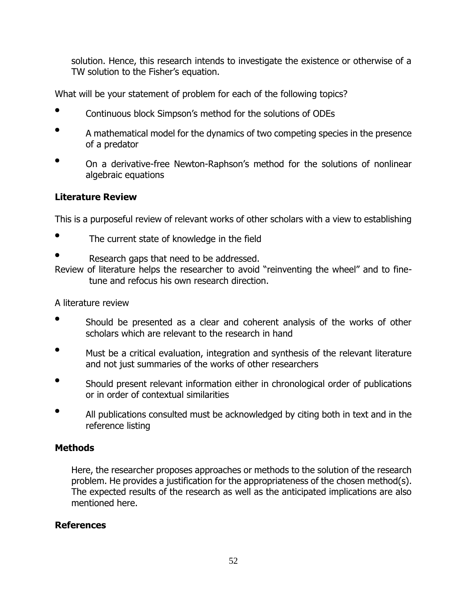solution. Hence, this research intends to investigate the existence or otherwise of a TW solution to the Fisher's equation.

What will be your statement of problem for each of the following topics?

- Continuous block Simpson's method for the solutions of ODEs
- A mathematical model for the dynamics of two competing species in the presence of a predator
- On a derivative-free Newton-Raphson's method for the solutions of nonlinear algebraic equations

# **Literature Review**

This is a purposeful review of relevant works of other scholars with a view to establishing

- The current state of knowledge in the field
- Research gaps that need to be addressed.

Review of literature helps the researcher to avoid "reinventing the wheel" and to finetune and refocus his own research direction.

A literature review

- Should be presented as a clear and coherent analysis of the works of other scholars which are relevant to the research in hand
- Must be a critical evaluation, integration and synthesis of the relevant literature and not just summaries of the works of other researchers
- Should present relevant information either in chronological order of publications or in order of contextual similarities
- All publications consulted must be acknowledged by citing both in text and in the reference listing

# **Methods**

Here, the researcher proposes approaches or methods to the solution of the research problem. He provides a justification for the appropriateness of the chosen method(s). The expected results of the research as well as the anticipated implications are also mentioned here.

#### **References**